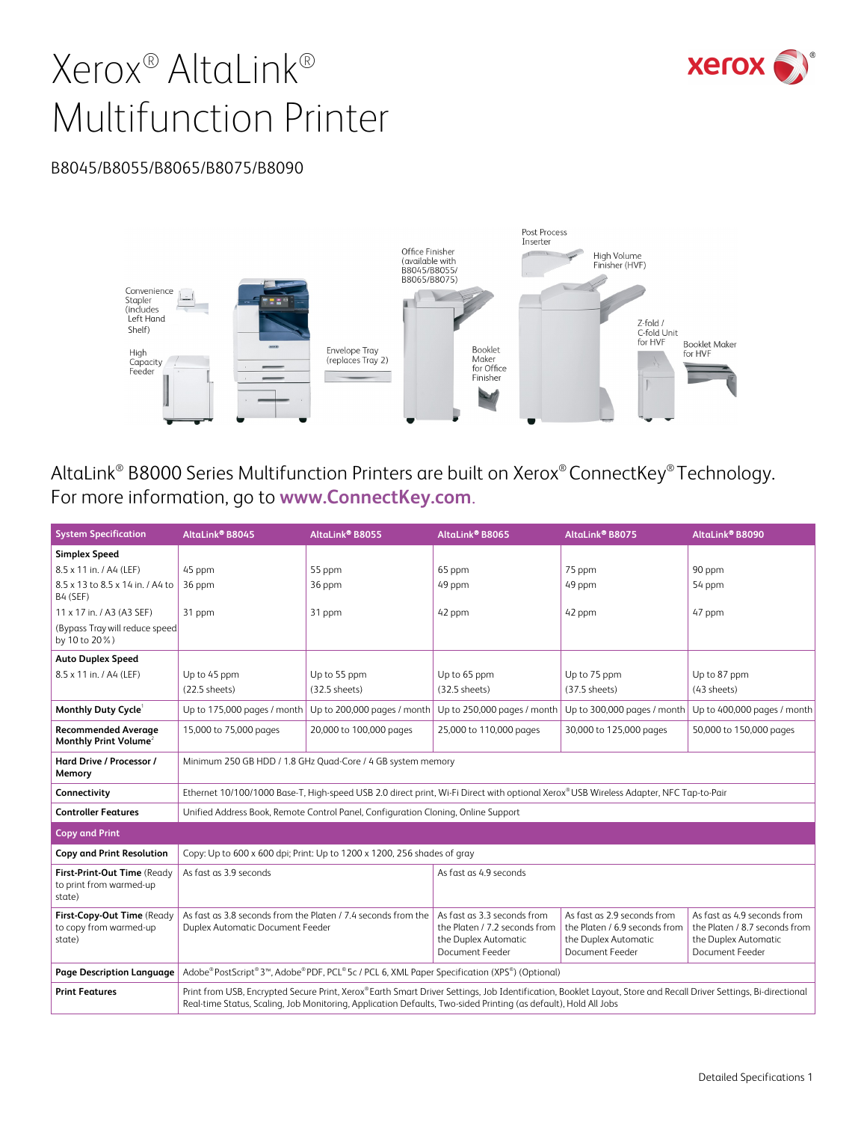

# Xerox® AltaLink® Multifunction Printer

#### B8045/B8055/B8065/B8075/B8090



AltaLink® B8000 Series Multifunction Printers are built on Xerox® ConnectKey® Technology. For more information, go to **www.ConnectKey.com**.

| <b>System Specification</b>                                      | AltaLink® B8045                                                                                   | AltaLink® B8055                                                                   | AltaLink® B8065                                                                                                                                                                                                                                                                    | AltaLink® B8075                                                                                         | AltaLink® B8090                                                                                         |  |  |
|------------------------------------------------------------------|---------------------------------------------------------------------------------------------------|-----------------------------------------------------------------------------------|------------------------------------------------------------------------------------------------------------------------------------------------------------------------------------------------------------------------------------------------------------------------------------|---------------------------------------------------------------------------------------------------------|---------------------------------------------------------------------------------------------------------|--|--|
| <b>Simplex Speed</b>                                             |                                                                                                   |                                                                                   |                                                                                                                                                                                                                                                                                    |                                                                                                         |                                                                                                         |  |  |
| 8.5 x 11 in. / A4 (LEF)                                          | 45 ppm                                                                                            | 55 ppm                                                                            | 65 ppm                                                                                                                                                                                                                                                                             | 75 ppm                                                                                                  | 90 ppm                                                                                                  |  |  |
| 8.5 x 13 to 8.5 x 14 in. / A4 to<br>B4 (SEF)                     | 36 ppm                                                                                            | 36 ppm                                                                            | 49 ppm                                                                                                                                                                                                                                                                             | 49 ppm                                                                                                  | 54 ppm                                                                                                  |  |  |
| 11 x 17 in. / A3 (A3 SEF)                                        | 31 ppm                                                                                            | 31 ppm                                                                            | 42 ppm                                                                                                                                                                                                                                                                             | 42 ppm                                                                                                  | 47 ppm                                                                                                  |  |  |
| (Bypass Tray will reduce speed)<br>by 10 to 20%)                 |                                                                                                   |                                                                                   |                                                                                                                                                                                                                                                                                    |                                                                                                         |                                                                                                         |  |  |
| <b>Auto Duplex Speed</b>                                         |                                                                                                   |                                                                                   |                                                                                                                                                                                                                                                                                    |                                                                                                         |                                                                                                         |  |  |
| 8.5 x 11 in. / A4 (LEF)                                          | Up to 45 ppm                                                                                      | Up to 55 ppm                                                                      | Up to 65 ppm                                                                                                                                                                                                                                                                       | Up to 75 ppm                                                                                            | Up to 87 ppm                                                                                            |  |  |
|                                                                  | (22.5 sheets)                                                                                     | $(32.5$ sheets)                                                                   | $(32.5$ sheets)                                                                                                                                                                                                                                                                    | $(37.5$ sheets)                                                                                         | (43 sheets)                                                                                             |  |  |
| Monthly Duty Cycle                                               | Up to 175,000 pages / month                                                                       | Up to 200,000 pages / month                                                       | Up to 250,000 pages / month                                                                                                                                                                                                                                                        | Up to 300,000 pages / month                                                                             | Up to 400,000 pages / month                                                                             |  |  |
| <b>Recommended Average</b><br>Monthly Print Volume <sup>2</sup>  | 15,000 to 75,000 pages                                                                            | 20,000 to 100,000 pages                                                           | 25,000 to 110,000 pages                                                                                                                                                                                                                                                            | 30,000 to 125,000 pages                                                                                 | 50,000 to 150,000 pages                                                                                 |  |  |
| Hard Drive / Processor /<br>Memory                               |                                                                                                   | Minimum 250 GB HDD / 1.8 GHz Quad-Core / 4 GB system memory                       |                                                                                                                                                                                                                                                                                    |                                                                                                         |                                                                                                         |  |  |
| Connectivity                                                     |                                                                                                   |                                                                                   | Ethernet 10/100/1000 Base-T, High-speed USB 2.0 direct print, Wi-Fi Direct with optional Xerox® USB Wireless Adapter, NFC Tap-to-Pair                                                                                                                                              |                                                                                                         |                                                                                                         |  |  |
| <b>Controller Features</b>                                       |                                                                                                   | Unified Address Book, Remote Control Panel, Configuration Cloning, Online Support |                                                                                                                                                                                                                                                                                    |                                                                                                         |                                                                                                         |  |  |
| <b>Copy and Print</b>                                            |                                                                                                   |                                                                                   |                                                                                                                                                                                                                                                                                    |                                                                                                         |                                                                                                         |  |  |
| <b>Copy and Print Resolution</b>                                 |                                                                                                   | Copy: Up to 600 x 600 dpi; Print: Up to 1200 x 1200, 256 shades of gray           |                                                                                                                                                                                                                                                                                    |                                                                                                         |                                                                                                         |  |  |
| First-Print-Out Time (Ready<br>to print from warmed-up<br>state) | As fast as 3.9 seconds<br>As fast as 4.9 seconds                                                  |                                                                                   |                                                                                                                                                                                                                                                                                    |                                                                                                         |                                                                                                         |  |  |
| First-Copy-Out Time (Ready<br>to copy from warmed-up<br>state)   | As fast as 3.8 seconds from the Platen / 7.4 seconds from the<br>Duplex Automatic Document Feeder |                                                                                   | As fast as 3.3 seconds from<br>the Platen / 7.2 seconds from<br>the Duplex Automatic<br>Document Feeder                                                                                                                                                                            | As fast as 2.9 seconds from<br>the Platen / 6.9 seconds from<br>the Duplex Automatic<br>Document Feeder | As fast as 4.9 seconds from<br>the Platen / 8.7 seconds from<br>the Duplex Automatic<br>Document Feeder |  |  |
| <b>Page Description Language</b>                                 |                                                                                                   |                                                                                   | Adobe® PostScript® 3™, Adobe® PDF, PCL® 5c / PCL 6, XML Paper Specification (XPS®) (Optional)                                                                                                                                                                                      |                                                                                                         |                                                                                                         |  |  |
| <b>Print Features</b>                                            |                                                                                                   |                                                                                   | Print from USB, Encrypted Secure Print, Xerox®Earth Smart Driver Settings, Job Identification, Booklet Layout, Store and Recall Driver Settings, Bi-directional<br>Real-time Status, Scaling, Job Monitoring, Application Defaults, Two-sided Printing (as default), Hold All Jobs |                                                                                                         |                                                                                                         |  |  |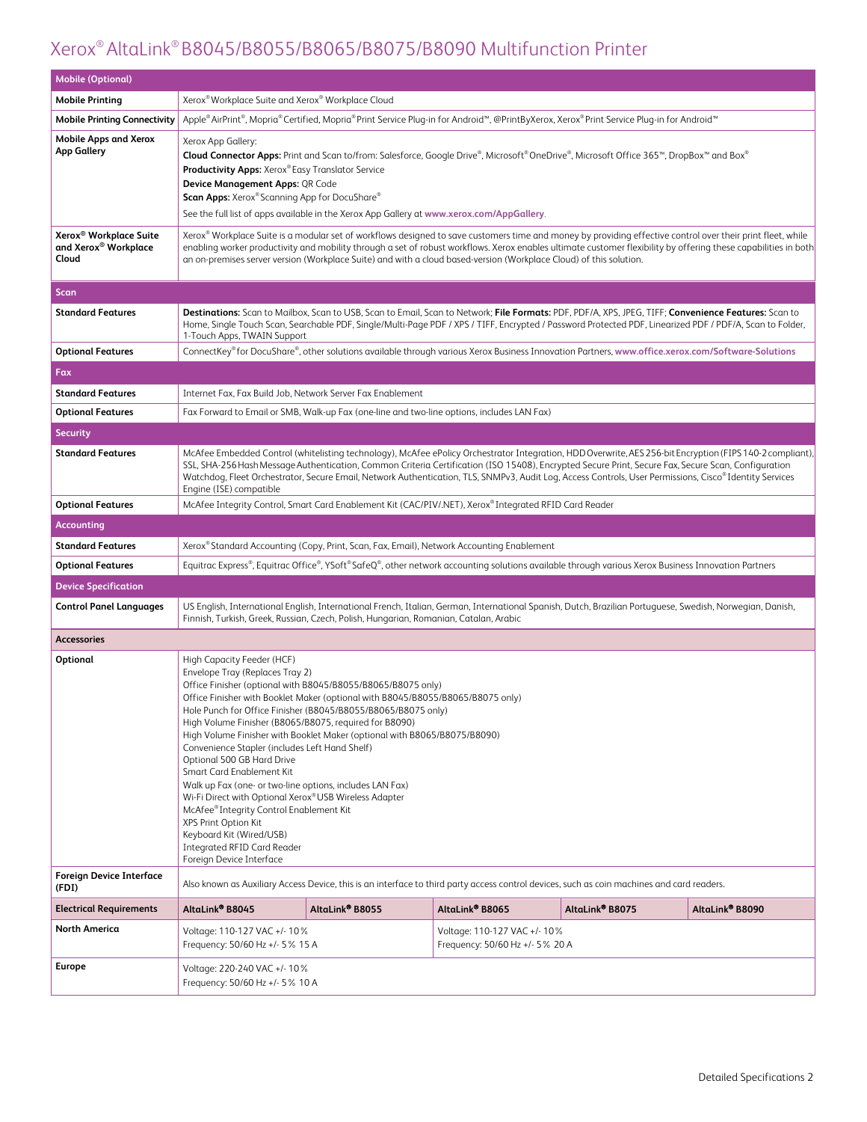| <b>Mobile (Optional)</b>                                                        |                                                                                                                                                                                                                                                                                                                                                                                                                                                                                                                                          |                                                                                                                                                                                                                                                                                               |                                                                                                                                                                                                                                     |                             |                                                                                                                                                                                                                                                                                                                                |  |
|---------------------------------------------------------------------------------|------------------------------------------------------------------------------------------------------------------------------------------------------------------------------------------------------------------------------------------------------------------------------------------------------------------------------------------------------------------------------------------------------------------------------------------------------------------------------------------------------------------------------------------|-----------------------------------------------------------------------------------------------------------------------------------------------------------------------------------------------------------------------------------------------------------------------------------------------|-------------------------------------------------------------------------------------------------------------------------------------------------------------------------------------------------------------------------------------|-----------------------------|--------------------------------------------------------------------------------------------------------------------------------------------------------------------------------------------------------------------------------------------------------------------------------------------------------------------------------|--|
| <b>Mobile Printing</b>                                                          | Xerox® Workplace Suite and Xerox® Workplace Cloud                                                                                                                                                                                                                                                                                                                                                                                                                                                                                        |                                                                                                                                                                                                                                                                                               |                                                                                                                                                                                                                                     |                             |                                                                                                                                                                                                                                                                                                                                |  |
| <b>Mobile Printing Connectivity</b>                                             |                                                                                                                                                                                                                                                                                                                                                                                                                                                                                                                                          | Apple®AirPrint®, Mopria®Certified, Mopria®Print Service Plug-in for Android™, @PrintByXerox, Xerox®Print Service Plug-in for Android™                                                                                                                                                         |                                                                                                                                                                                                                                     |                             |                                                                                                                                                                                                                                                                                                                                |  |
| <b>Mobile Apps and Xerox</b><br><b>App Gallery</b>                              | Xerox App Gallery:<br><b>Productivity Apps:</b> Xerox® Easy Translator Service<br>Device Management Apps: QR Code<br>Scan Apps: Xerox® Scanning App for DocuShare®                                                                                                                                                                                                                                                                                                                                                                       |                                                                                                                                                                                                                                                                                               | Cloud Connector Apps: Print and Scan to/from: Salesforce, Google Drive®, Microsoft®OneDrive®, Microsoft Office 365™, DropBox™ and Box®<br>See the full list of apps available in the Xerox App Gallery at www.xerox.com/AppGallery. |                             |                                                                                                                                                                                                                                                                                                                                |  |
| Xerox <sup>®</sup> Workplace Suite<br>and Xerox <sup>®</sup> Workplace<br>Cloud |                                                                                                                                                                                                                                                                                                                                                                                                                                                                                                                                          | an on-premises server version (Workplace Suite) and with a cloud based-version (Workplace Cloud) of this solution.                                                                                                                                                                            |                                                                                                                                                                                                                                     |                             | Xerox® Workplace Suite is a modular set of workflows designed to save customers time and money by providing effective control over their print fleet, while<br>enabling worker productivity and mobility through a set of robust workflows. Xerox enables ultimate customer flexibility by offering these capabilities in both |  |
| <b>Scan</b>                                                                     |                                                                                                                                                                                                                                                                                                                                                                                                                                                                                                                                          |                                                                                                                                                                                                                                                                                               |                                                                                                                                                                                                                                     |                             |                                                                                                                                                                                                                                                                                                                                |  |
| <b>Standard Features</b>                                                        | 1-Touch Apps, TWAIN Support                                                                                                                                                                                                                                                                                                                                                                                                                                                                                                              | Destinations: Scan to Mailbox, Scan to USB, Scan to Email, Scan to Network; File Formats: PDF, PDF/A, XPS, JPEG, TIFF; Convenience Features: Scan to                                                                                                                                          |                                                                                                                                                                                                                                     |                             | Home, Single Touch Scan, Searchable PDF, Single/Multi-Page PDF / XPS / TIFF, Encrypted / Password Protected PDF, Linearized PDF / PDF/A, Scan to Folder,                                                                                                                                                                       |  |
| <b>Optional Features</b>                                                        |                                                                                                                                                                                                                                                                                                                                                                                                                                                                                                                                          | ConnectKey® for DocuShare®, other solutions available through various Xerox Business Innovation Partners, www.office.xerox.com/Software-Solutions                                                                                                                                             |                                                                                                                                                                                                                                     |                             |                                                                                                                                                                                                                                                                                                                                |  |
| Fax                                                                             |                                                                                                                                                                                                                                                                                                                                                                                                                                                                                                                                          |                                                                                                                                                                                                                                                                                               |                                                                                                                                                                                                                                     |                             |                                                                                                                                                                                                                                                                                                                                |  |
| <b>Standard Features</b>                                                        | Internet Fax, Fax Build Job, Network Server Fax Enablement                                                                                                                                                                                                                                                                                                                                                                                                                                                                               |                                                                                                                                                                                                                                                                                               |                                                                                                                                                                                                                                     |                             |                                                                                                                                                                                                                                                                                                                                |  |
| <b>Optional Features</b>                                                        |                                                                                                                                                                                                                                                                                                                                                                                                                                                                                                                                          | Fax Forward to Email or SMB, Walk-up Fax (one-line and two-line options, includes LAN Fax)                                                                                                                                                                                                    |                                                                                                                                                                                                                                     |                             |                                                                                                                                                                                                                                                                                                                                |  |
| <b>Security</b>                                                                 |                                                                                                                                                                                                                                                                                                                                                                                                                                                                                                                                          |                                                                                                                                                                                                                                                                                               |                                                                                                                                                                                                                                     |                             |                                                                                                                                                                                                                                                                                                                                |  |
| <b>Standard Features</b>                                                        | McAfee Embedded Control (whitelisting technology), McAfee ePolicy Orchestrator Integration, HDD Overwrite, AES 256-bit Encryption (FIPS 140-2 compliant),<br>SSL, SHA-256 Hash Message Authentication, Common Criteria Certification (ISO 15408), Encrypted Secure Print, Secure Fax, Secure Scan, Configuration<br>Watchdog, Fleet Orchestrator, Secure Email, Network Authentication, TLS, SNMPv3, Audit Log, Access Controls, User Permissions, Cisco®Identity Services<br>Engine (ISE) compatible                                    |                                                                                                                                                                                                                                                                                               |                                                                                                                                                                                                                                     |                             |                                                                                                                                                                                                                                                                                                                                |  |
| <b>Optional Features</b>                                                        |                                                                                                                                                                                                                                                                                                                                                                                                                                                                                                                                          | McAfee Integrity Control, Smart Card Enablement Kit (CAC/PIV/.NET), Xerox® Integrated RFID Card Reader                                                                                                                                                                                        |                                                                                                                                                                                                                                     |                             |                                                                                                                                                                                                                                                                                                                                |  |
| <b>Accounting</b>                                                               |                                                                                                                                                                                                                                                                                                                                                                                                                                                                                                                                          |                                                                                                                                                                                                                                                                                               |                                                                                                                                                                                                                                     |                             |                                                                                                                                                                                                                                                                                                                                |  |
| <b>Standard Features</b>                                                        |                                                                                                                                                                                                                                                                                                                                                                                                                                                                                                                                          | Xerox® Standard Accounting (Copy, Print, Scan, Fax, Email), Network Accounting Enablement                                                                                                                                                                                                     |                                                                                                                                                                                                                                     |                             |                                                                                                                                                                                                                                                                                                                                |  |
| <b>Optional Features</b>                                                        | Equitrac Express®, Equitrac Office®, YSoft® SafeQ®, other network accounting solutions available through various Xerox Business Innovation Partners                                                                                                                                                                                                                                                                                                                                                                                      |                                                                                                                                                                                                                                                                                               |                                                                                                                                                                                                                                     |                             |                                                                                                                                                                                                                                                                                                                                |  |
| <b>Device Specification</b>                                                     |                                                                                                                                                                                                                                                                                                                                                                                                                                                                                                                                          |                                                                                                                                                                                                                                                                                               |                                                                                                                                                                                                                                     |                             |                                                                                                                                                                                                                                                                                                                                |  |
| <b>Control Panel Languages</b>                                                  |                                                                                                                                                                                                                                                                                                                                                                                                                                                                                                                                          | US English, International English, International French, Italian, German, International Spanish, Dutch, Brazilian Portuguese, Swedish, Norwegian, Danish,<br>Finnish, Turkish, Greek, Russian, Czech, Polish, Hungarian, Romanian, Catalan, Arabic                                            |                                                                                                                                                                                                                                     |                             |                                                                                                                                                                                                                                                                                                                                |  |
| <b>Accessories</b>                                                              |                                                                                                                                                                                                                                                                                                                                                                                                                                                                                                                                          |                                                                                                                                                                                                                                                                                               |                                                                                                                                                                                                                                     |                             |                                                                                                                                                                                                                                                                                                                                |  |
| Optional                                                                        | High Capacity Feeder (HCF)<br>Envelope Tray (Replaces Tray 2)<br>High Volume Finisher (B8065/B8075, required for B8090)<br>Convenience Stapler (includes Left Hand Shelf)<br>Optional 500 GB Hard Drive<br>Smart Card Enablement Kit<br>Walk up Fax (one- or two-line options, includes LAN Fax)<br>Wi-Fi Direct with Optional Xerox® USB Wireless Adapter<br>McAfee <sup>®</sup> Integrity Control Enablement Kit<br>XPS Print Option Kit<br>Keyboard Kit (Wired/USB)<br><b>Integrated RFID Card Reader</b><br>Foreign Device Interface | Office Finisher (optional with B8045/B8055/B8065/B8075 only)<br>Office Finisher with Booklet Maker (optional with B8045/B8055/B8065/B8075 only)<br>Hole Punch for Office Finisher (B8045/B8055/B8065/B8075 only)<br>High Volume Finisher with Booklet Maker (optional with B8065/B8075/B8090) |                                                                                                                                                                                                                                     |                             |                                                                                                                                                                                                                                                                                                                                |  |
| <b>Foreign Device Interface</b><br>(FDI)                                        |                                                                                                                                                                                                                                                                                                                                                                                                                                                                                                                                          | Also known as Auxiliary Access Device, this is an interface to third party access control devices, such as coin machines and card readers.                                                                                                                                                    |                                                                                                                                                                                                                                     |                             |                                                                                                                                                                                                                                                                                                                                |  |
| <b>Electrical Requirements</b>                                                  | AltaLink® B8045                                                                                                                                                                                                                                                                                                                                                                                                                                                                                                                          | AltaLink <sup>®</sup> B8055                                                                                                                                                                                                                                                                   | AltaLink® B8065                                                                                                                                                                                                                     | AltaLink <sup>®</sup> B8075 | AltaLink® B8090                                                                                                                                                                                                                                                                                                                |  |
| <b>North America</b>                                                            | Voltage: 110-127 VAC +/- 10%<br>Frequency: 50/60 Hz +/- 5% 15 A                                                                                                                                                                                                                                                                                                                                                                                                                                                                          |                                                                                                                                                                                                                                                                                               | Voltage: 110-127 VAC +/- 10%<br>Frequency: 50/60 Hz +/- 5% 20 A                                                                                                                                                                     |                             |                                                                                                                                                                                                                                                                                                                                |  |
| Europe                                                                          | Voltage: 220-240 VAC +/- 10%<br>Frequency: 50/60 Hz +/- 5 % 10 A                                                                                                                                                                                                                                                                                                                                                                                                                                                                         |                                                                                                                                                                                                                                                                                               |                                                                                                                                                                                                                                     |                             |                                                                                                                                                                                                                                                                                                                                |  |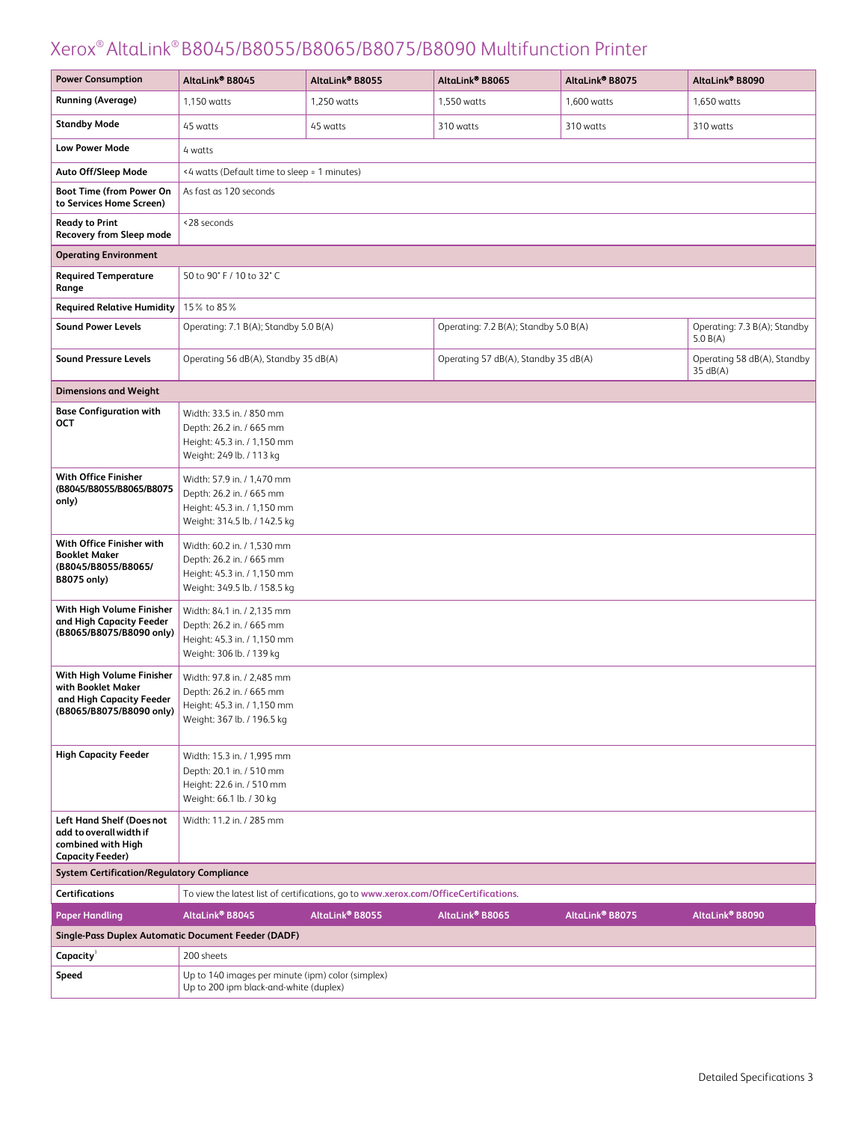| <b>Power Consumption</b>                                                                                    | AltaLink® B8045                                                                                                       | AltaLink® B8055                                                                      | AltaLink® B8065                       | AltaLink® B8075 | AltaLink® B8090                          |  |  |  |
|-------------------------------------------------------------------------------------------------------------|-----------------------------------------------------------------------------------------------------------------------|--------------------------------------------------------------------------------------|---------------------------------------|-----------------|------------------------------------------|--|--|--|
| <b>Running (Average)</b>                                                                                    | 1,150 watts                                                                                                           | 1,250 watts                                                                          | 1,550 watts                           | 1,600 watts     | 1,650 watts                              |  |  |  |
| <b>Standby Mode</b>                                                                                         | 45 watts                                                                                                              | 45 watts                                                                             | 310 watts                             | 310 watts       | 310 watts                                |  |  |  |
| <b>Low Power Mode</b>                                                                                       | 4 watts                                                                                                               |                                                                                      |                                       |                 |                                          |  |  |  |
| Auto Off/Sleep Mode                                                                                         | <4 watts (Default time to sleep = 1 minutes)                                                                          |                                                                                      |                                       |                 |                                          |  |  |  |
| <b>Boot Time (from Power On</b><br>to Services Home Screen)                                                 | As fast as 120 seconds                                                                                                |                                                                                      |                                       |                 |                                          |  |  |  |
| <b>Ready to Print</b><br>Recovery from Sleep mode                                                           | <28 seconds                                                                                                           |                                                                                      |                                       |                 |                                          |  |  |  |
| <b>Operating Environment</b>                                                                                |                                                                                                                       |                                                                                      |                                       |                 |                                          |  |  |  |
| <b>Required Temperature</b><br>Range                                                                        | 50 to 90° F / 10 to 32° C                                                                                             |                                                                                      |                                       |                 |                                          |  |  |  |
| <b>Required Relative Humidity</b>                                                                           | 15% to 85%                                                                                                            |                                                                                      |                                       |                 |                                          |  |  |  |
| <b>Sound Power Levels</b>                                                                                   | Operating: 7.1 B(A); Standby 5.0 B(A)                                                                                 |                                                                                      | Operating: 7.2 B(A); Standby 5.0 B(A) |                 | Operating: 7.3 B(A); Standby<br>5.0 B(A) |  |  |  |
| <b>Sound Pressure Levels</b>                                                                                | Operating 56 dB(A), Standby 35 dB(A)                                                                                  |                                                                                      | Operating 57 dB(A), Standby 35 dB(A)  |                 | Operating 58 dB(A), Standby<br>35 dB(A)  |  |  |  |
| <b>Dimensions and Weight</b>                                                                                |                                                                                                                       |                                                                                      |                                       |                 |                                          |  |  |  |
| <b>Base Configuration with</b><br>OCT                                                                       | Width: 33.5 in. / 850 mm<br>Depth: 26.2 in. / 665 mm<br>Height: 45.3 in. / 1,150 mm<br>Weight: 249 lb. / 113 kg       |                                                                                      |                                       |                 |                                          |  |  |  |
| With Office Finisher<br>(B8045/B8055/B8065/B8075<br>only)                                                   | Width: 57.9 in. / 1,470 mm<br>Depth: 26.2 in. / 665 mm<br>Height: 45.3 in. / 1,150 mm<br>Weight: 314.5 lb. / 142.5 kg |                                                                                      |                                       |                 |                                          |  |  |  |
| With Office Finisher with<br><b>Booklet Maker</b><br>(B8045/B8055/B8065/<br><b>B8075 only)</b>              | Width: 60.2 in. / 1,530 mm<br>Depth: 26.2 in. / 665 mm<br>Height: 45.3 in. / 1,150 mm<br>Weight: 349.5 lb. / 158.5 kg |                                                                                      |                                       |                 |                                          |  |  |  |
| With High Volume Finisher<br>and High Capacity Feeder<br>(B8065/B8075/B8090 only)                           | Width: 84.1 in. / 2,135 mm<br>Depth: 26.2 in. / 665 mm<br>Height: 45.3 in. / 1,150 mm<br>Weight: 306 lb. / 139 kg     |                                                                                      |                                       |                 |                                          |  |  |  |
| With High Volume Finisher<br>with Booklet Maker<br>and High Capacity Feeder<br>(B8065/B8075/B8090 only)     | Width: 97.8 in. / 2.485 mm<br>Depth: 26.2 in. / 665 mm<br>Height: 45.3 in. / 1,150 mm<br>Weight: 367 lb. / 196.5 kg   |                                                                                      |                                       |                 |                                          |  |  |  |
| <b>High Capacity Feeder</b>                                                                                 | Width: 15.3 in. / 1,995 mm<br>Depth: 20.1 in. / 510 mm<br>Height: 22.6 in. / 510 mm<br>Weight: 66.1 lb. / 30 kg       |                                                                                      |                                       |                 |                                          |  |  |  |
| <b>Left Hand Shelf (Doesnot</b><br>add to overall width if<br>combined with High<br><b>Capacity Feeder)</b> | Width: 11.2 in. / 285 mm                                                                                              |                                                                                      |                                       |                 |                                          |  |  |  |
| <b>System Certification/Regulatory Compliance</b>                                                           |                                                                                                                       |                                                                                      |                                       |                 |                                          |  |  |  |
| <b>Certifications</b>                                                                                       |                                                                                                                       | To view the latest list of certifications, go to www.xerox.com/OfficeCertifications. |                                       |                 |                                          |  |  |  |
| <b>Paper Handling</b>                                                                                       | AltaLink® B8045                                                                                                       | AltaLink® B8055                                                                      | AltaLink® B8065                       | AltaLink® B8075 | AltaLink® B8090                          |  |  |  |
|                                                                                                             | Single-Pass Duplex Automatic Document Feeder (DADF)                                                                   |                                                                                      |                                       |                 |                                          |  |  |  |
| Capacity <sup>3</sup>                                                                                       | 200 sheets                                                                                                            |                                                                                      |                                       |                 |                                          |  |  |  |
| Speed                                                                                                       | Up to 140 images per minute (ipm) color (simplex)<br>Up to 200 ipm black-and-white (duplex)                           |                                                                                      |                                       |                 |                                          |  |  |  |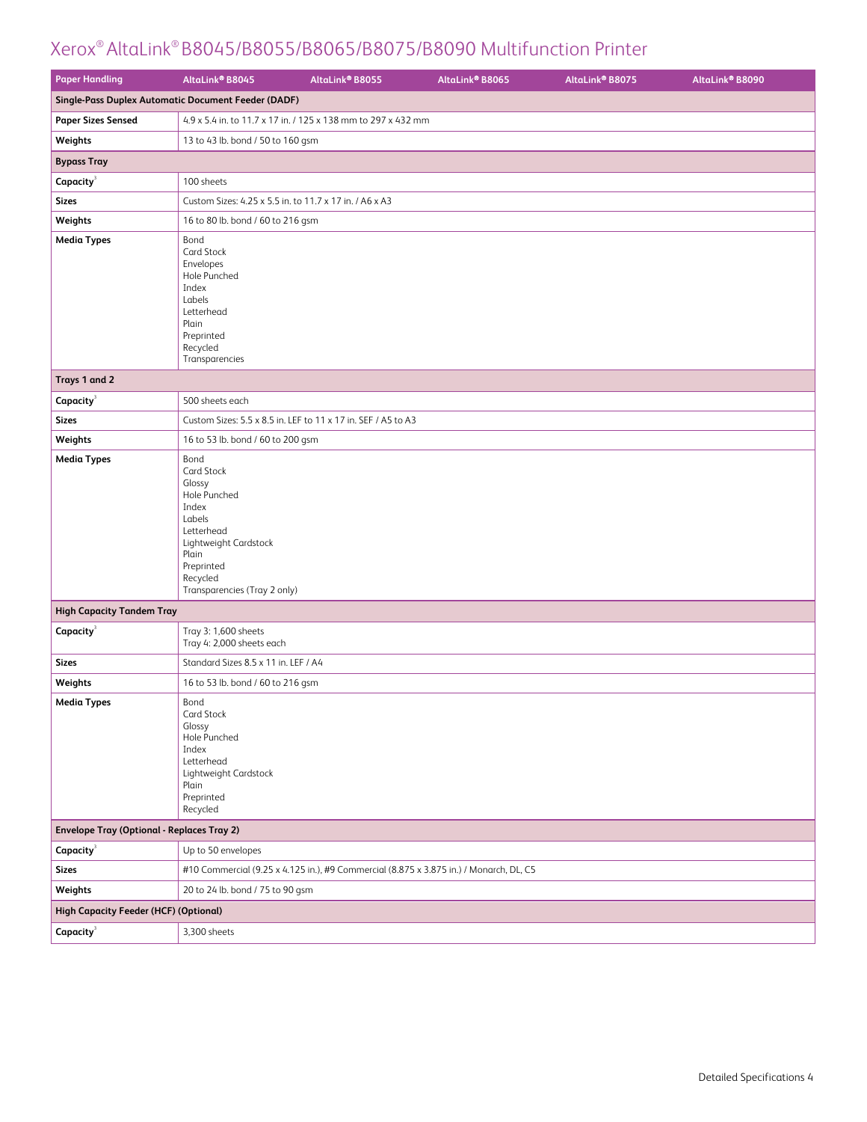| <b>Paper Handling</b>                             | AltaLink® B8045                                                                                                                                                           | AltaLink <sup>®</sup> B8055 | AltaLink® B8065 | AltaLink® B8075 | AltaLink® B8090 |
|---------------------------------------------------|---------------------------------------------------------------------------------------------------------------------------------------------------------------------------|-----------------------------|-----------------|-----------------|-----------------|
|                                                   | Single-Pass Duplex Automatic Document Feeder (DADF)                                                                                                                       |                             |                 |                 |                 |
| <b>Paper Sizes Sensed</b>                         | 4.9 x 5.4 in. to 11.7 x 17 in. / 125 x 138 mm to 297 x 432 mm                                                                                                             |                             |                 |                 |                 |
| Weights                                           | 13 to 43 lb. bond / 50 to 160 gsm                                                                                                                                         |                             |                 |                 |                 |
| <b>Bypass Tray</b>                                |                                                                                                                                                                           |                             |                 |                 |                 |
| Capacity <sup>3</sup>                             | 100 sheets                                                                                                                                                                |                             |                 |                 |                 |
| <b>Sizes</b>                                      | Custom Sizes: 4.25 x 5.5 in. to 11.7 x 17 in. / A6 x A3                                                                                                                   |                             |                 |                 |                 |
| Weights                                           | 16 to 80 lb. bond / 60 to 216 gsm                                                                                                                                         |                             |                 |                 |                 |
| <b>Media Types</b>                                | Bond<br>Card Stock<br>Envelopes<br>Hole Punched<br>Index<br>Labels<br>Letterhead<br>Plain<br>Preprinted<br>Recycled<br>Transparencies                                     |                             |                 |                 |                 |
| Trays 1 and 2                                     |                                                                                                                                                                           |                             |                 |                 |                 |
| $Capacity^3$                                      | 500 sheets each                                                                                                                                                           |                             |                 |                 |                 |
| <b>Sizes</b>                                      | Custom Sizes: 5.5 x 8.5 in. LEF to 11 x 17 in. SEF / A5 to A3                                                                                                             |                             |                 |                 |                 |
| Weights                                           | 16 to 53 lb. bond / 60 to 200 gsm                                                                                                                                         |                             |                 |                 |                 |
| <b>Media Types</b>                                | Bond<br>Card Stock<br>Glossy<br>Hole Punched<br>Index<br>Labels<br>Letterhead<br>Lightweight Cardstock<br>Plain<br>Preprinted<br>Recycled<br>Transparencies (Tray 2 only) |                             |                 |                 |                 |
| <b>High Capacity Tandem Tray</b>                  |                                                                                                                                                                           |                             |                 |                 |                 |
| Capacity                                          | Tray 3: 1,600 sheets<br>Tray 4: 2,000 sheets each                                                                                                                         |                             |                 |                 |                 |
| <b>Sizes</b>                                      | Standard Sizes 8.5 x 11 in. LEF / A4                                                                                                                                      |                             |                 |                 |                 |
| Weights                                           | 16 to 53 lb. bond / 60 to 216 gsm                                                                                                                                         |                             |                 |                 |                 |
| Media Types                                       | Bond<br>Card Stock<br>Glossy<br>Hole Punched<br>Index<br>Letterhead<br>Lightweight Cardstock<br>Plain<br>Preprinted<br>Recycled                                           |                             |                 |                 |                 |
| <b>Envelope Tray (Optional - Replaces Tray 2)</b> |                                                                                                                                                                           |                             |                 |                 |                 |
| Capacity <sup>3</sup>                             | Up to 50 envelopes                                                                                                                                                        |                             |                 |                 |                 |
| <b>Sizes</b>                                      | #10 Commercial (9.25 x 4.125 in.), #9 Commercial (8.875 x 3.875 in.) / Monarch, DL, C5                                                                                    |                             |                 |                 |                 |
| Weights                                           | 20 to 24 lb. bond / 75 to 90 gsm                                                                                                                                          |                             |                 |                 |                 |
| <b>High Capacity Feeder (HCF) (Optional)</b>      |                                                                                                                                                                           |                             |                 |                 |                 |
| Capacity <sup>3</sup>                             | 3,300 sheets                                                                                                                                                              |                             |                 |                 |                 |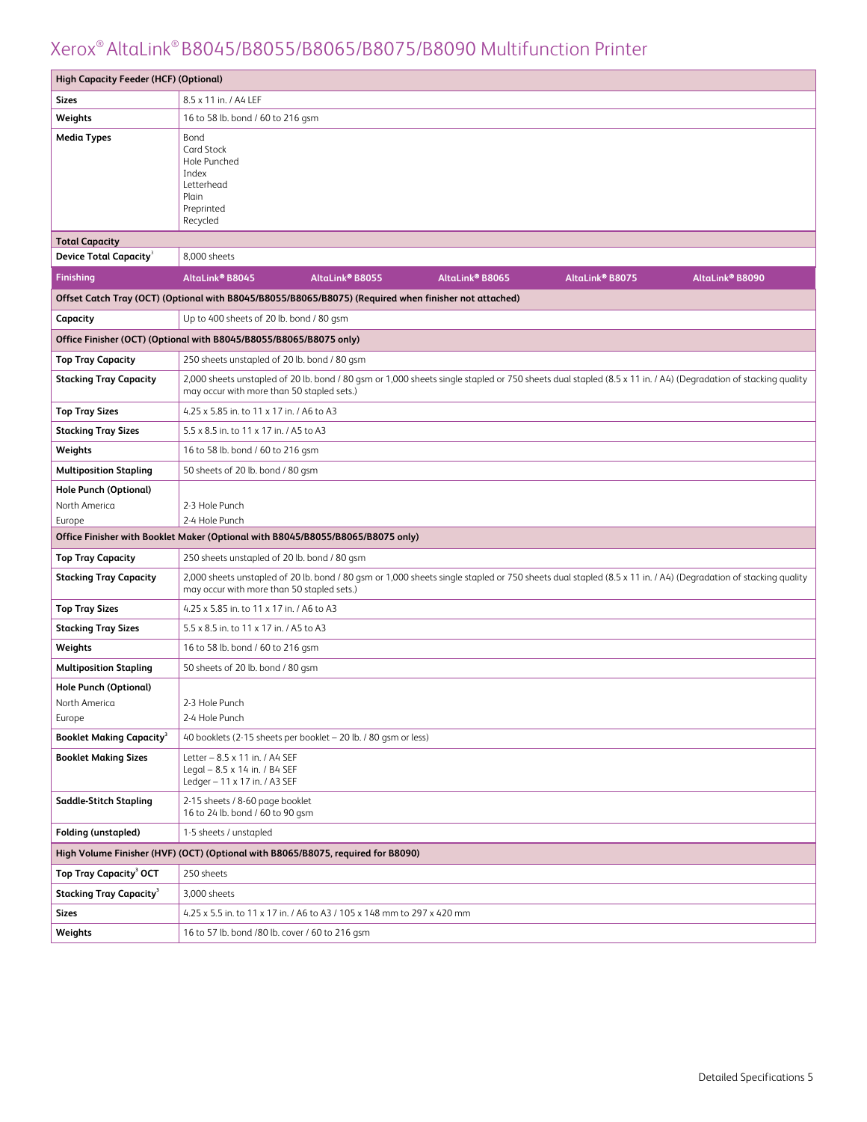| <b>High Capacity Feeder (HCF) (Optional)</b>  |                                                                                                                                                                                                             |
|-----------------------------------------------|-------------------------------------------------------------------------------------------------------------------------------------------------------------------------------------------------------------|
| Sizes                                         | 8.5 x 11 in. / A4 LEF                                                                                                                                                                                       |
| Weights                                       | 16 to 58 lb. bond / 60 to 216 gsm                                                                                                                                                                           |
| <b>Media Types</b>                            | Bond<br><b>Card Stock</b><br>Hole Punched<br>Index<br>Letterhead<br>Plain<br>Preprinted<br>Recycled                                                                                                         |
| <b>Total Capacity</b>                         |                                                                                                                                                                                                             |
| <b>Device Total Capacity<sup>3</sup></b>      | 8,000 sheets                                                                                                                                                                                                |
| Finishing                                     | AltaLink® B8055<br>AltaLink® B8065<br>AltaLink® B8075<br>AltaLink® B8090<br>AltaLink <sup>®</sup> B8045                                                                                                     |
|                                               | Offset Catch Tray (OCT) (Optional with B8045/B8055/B8065/B8075) (Required when finisher not attached)                                                                                                       |
| Capacity                                      | Up to 400 sheets of 20 lb. bond / 80 gsm                                                                                                                                                                    |
|                                               | Office Finisher (OCT) (Optional with B8045/B8055/B8065/B8075 only)                                                                                                                                          |
| <b>Top Tray Capacity</b>                      | 250 sheets unstapled of 20 lb. bond / 80 gsm                                                                                                                                                                |
| <b>Stacking Tray Capacity</b>                 | 2,000 sheets unstapled of 20 lb. bond / 80 gsm or 1,000 sheets single stapled or 750 sheets dual stapled (8.5 x 11 in. / A4) (Degradation of stacking quality<br>may occur with more than 50 stapled sets.) |
| <b>Top Tray Sizes</b>                         | 4.25 x 5.85 in. to 11 x 17 in. / A6 to A3                                                                                                                                                                   |
| <b>Stacking Tray Sizes</b>                    | 5.5 x 8.5 in. to 11 x 17 in. / A5 to A3                                                                                                                                                                     |
| Weights                                       | 16 to 58 lb. bond / 60 to 216 gsm                                                                                                                                                                           |
| <b>Multiposition Stapling</b>                 | 50 sheets of 20 lb. bond / 80 gsm                                                                                                                                                                           |
| <b>Hole Punch (Optional)</b><br>North America | 2-3 Hole Punch                                                                                                                                                                                              |
| Europe                                        | 2-4 Hole Punch                                                                                                                                                                                              |
|                                               | Office Finisher with Booklet Maker (Optional with B8045/B8055/B8065/B8075 only)                                                                                                                             |
| <b>Top Tray Capacity</b>                      | 250 sheets unstapled of 20 lb. bond / 80 gsm                                                                                                                                                                |
| <b>Stacking Tray Capacity</b>                 | 2,000 sheets unstapled of 20 lb. bond / 80 gsm or 1,000 sheets single stapled or 750 sheets dual stapled (8.5 x 11 in. / A4) (Degradation of stacking quality<br>may occur with more than 50 stapled sets.) |
| <b>Top Tray Sizes</b>                         | 4.25 x 5.85 in. to 11 x 17 in. / A6 to A3                                                                                                                                                                   |
| <b>Stacking Tray Sizes</b>                    | 5.5 x 8.5 in. to 11 x 17 in. / A5 to A3                                                                                                                                                                     |
| Weights                                       | 16 to 58 lb. bond / 60 to 216 gsm                                                                                                                                                                           |
| <b>Multiposition Stapling</b>                 | 50 sheets of 20 lb. bond / 80 gsm                                                                                                                                                                           |
| <b>Hole Punch (Optional)</b><br>North America | 2-3 Hole Punch                                                                                                                                                                                              |
| Europe                                        | 2-4 Hole Punch                                                                                                                                                                                              |
| <b>Booklet Making Capacity<sup>3</sup></b>    | 40 booklets (2-15 sheets per booklet - 20 lb. / 80 gsm or less)                                                                                                                                             |
| <b>Booklet Making Sizes</b>                   | Letter - 8.5 x 11 in. / A4 SEF<br>Legal - 8.5 x 14 in. / B4 SEF<br>Ledger - 11 x 17 in. / A3 SEF                                                                                                            |
| <b>Saddle-Stitch Stapling</b>                 | 2-15 sheets / 8-60 page booklet<br>16 to 24 lb. bond / 60 to 90 gsm                                                                                                                                         |
| <b>Folding (unstapled)</b>                    | 1-5 sheets / unstapled                                                                                                                                                                                      |
|                                               | High Volume Finisher (HVF) (OCT) (Optional with B8065/B8075, required for B8090)                                                                                                                            |
| Top Tray Capacity <sup>3</sup> OCT            | 250 sheets                                                                                                                                                                                                  |
| <b>Stacking Tray Capacity<sup>3</sup></b>     | 3,000 sheets                                                                                                                                                                                                |
| <b>Sizes</b>                                  | 4.25 x 5.5 in. to 11 x 17 in. / A6 to A3 / 105 x 148 mm to 297 x 420 mm                                                                                                                                     |
| Weights                                       | 16 to 57 lb. bond /80 lb. cover / 60 to 216 gsm                                                                                                                                                             |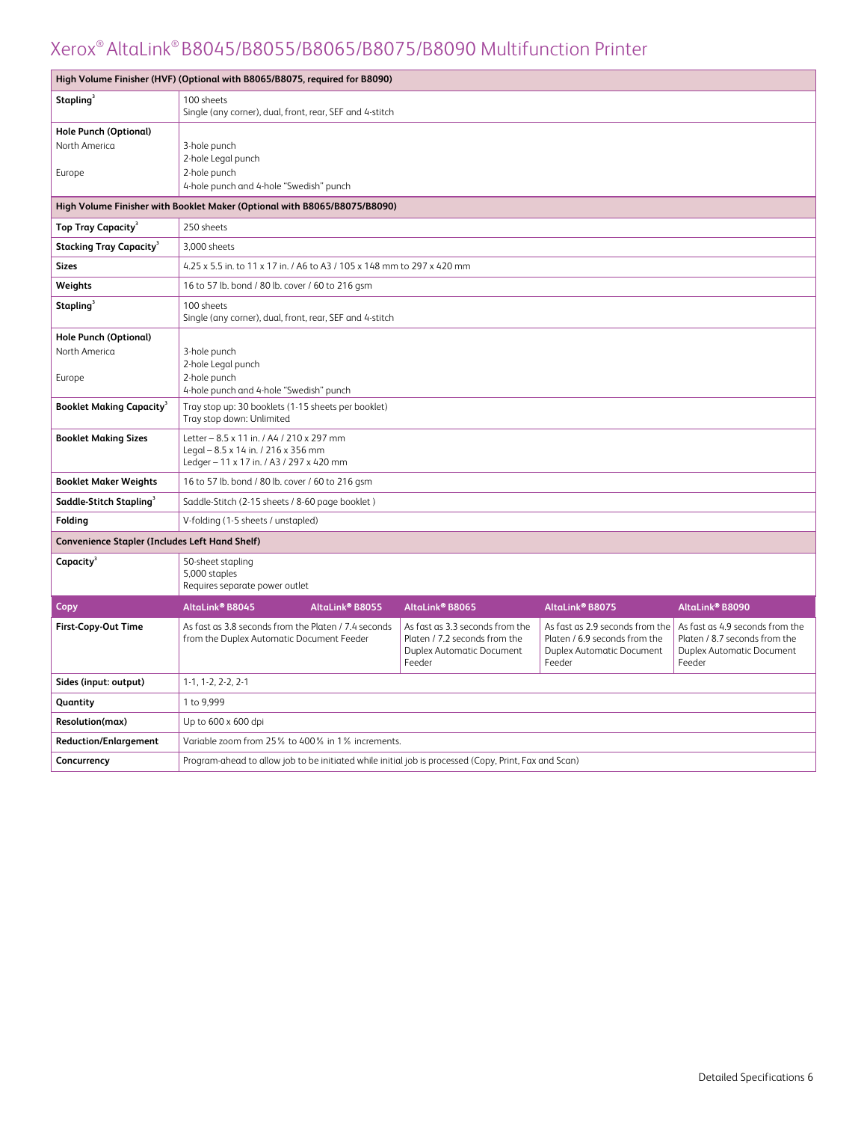|                                                         | High Volume Finisher (HVF) (Optional with B8065/B8075, required for B8090)                                                                                                                                                                                                                                                                                                                                                                              |                 |                 |                 |  |
|---------------------------------------------------------|---------------------------------------------------------------------------------------------------------------------------------------------------------------------------------------------------------------------------------------------------------------------------------------------------------------------------------------------------------------------------------------------------------------------------------------------------------|-----------------|-----------------|-----------------|--|
| Stapling <sup>3</sup>                                   | 100 sheets<br>Single (any corner), dual, front, rear, SEF and 4-stitch                                                                                                                                                                                                                                                                                                                                                                                  |                 |                 |                 |  |
| <b>Hole Punch (Optional)</b><br>North America<br>Europe | 3-hole punch<br>2-hole Legal punch<br>2-hole punch<br>4-hole punch and 4-hole "Swedish" punch                                                                                                                                                                                                                                                                                                                                                           |                 |                 |                 |  |
|                                                         | High Volume Finisher with Booklet Maker (Optional with B8065/B8075/B8090)                                                                                                                                                                                                                                                                                                                                                                               |                 |                 |                 |  |
| Top Tray Capacity <sup>3</sup>                          | 250 sheets                                                                                                                                                                                                                                                                                                                                                                                                                                              |                 |                 |                 |  |
| <b>Stacking Tray Capacity<sup>3</sup></b>               | 3,000 sheets                                                                                                                                                                                                                                                                                                                                                                                                                                            |                 |                 |                 |  |
| <b>Sizes</b>                                            | 4.25 x 5.5 in. to 11 x 17 in. / A6 to A3 / 105 x 148 mm to 297 x 420 mm                                                                                                                                                                                                                                                                                                                                                                                 |                 |                 |                 |  |
| Weights                                                 | 16 to 57 lb. bond / 80 lb. cover / 60 to 216 gsm                                                                                                                                                                                                                                                                                                                                                                                                        |                 |                 |                 |  |
| Stapling <sup>3</sup>                                   | 100 sheets<br>Single (any corner), dual, front, rear, SEF and 4-stitch                                                                                                                                                                                                                                                                                                                                                                                  |                 |                 |                 |  |
| <b>Hole Punch (Optional)</b><br>North America<br>Europe | 3-hole punch<br>2-hole Legal punch<br>2-hole punch<br>4-hole punch and 4-hole "Swedish" punch                                                                                                                                                                                                                                                                                                                                                           |                 |                 |                 |  |
| <b>Booklet Making Capacity<sup>3</sup></b>              | Tray stop up: 30 booklets (1-15 sheets per booklet)<br>Tray stop down: Unlimited                                                                                                                                                                                                                                                                                                                                                                        |                 |                 |                 |  |
| <b>Booklet Making Sizes</b>                             | Letter - 8.5 x 11 in. / A4 / 210 x 297 mm<br>Legal - 8.5 x 14 in. / 216 x 356 mm<br>Ledger - 11 x 17 in. / A3 / 297 x 420 mm                                                                                                                                                                                                                                                                                                                            |                 |                 |                 |  |
| <b>Booklet Maker Weights</b>                            | 16 to 57 lb. bond / 80 lb. cover / 60 to 216 gsm                                                                                                                                                                                                                                                                                                                                                                                                        |                 |                 |                 |  |
| Saddle-Stitch Stapling <sup>3</sup>                     | Saddle-Stitch (2-15 sheets / 8-60 page booklet)                                                                                                                                                                                                                                                                                                                                                                                                         |                 |                 |                 |  |
| Folding                                                 | V-folding (1-5 sheets / unstapled)                                                                                                                                                                                                                                                                                                                                                                                                                      |                 |                 |                 |  |
| Convenience Stapler (Includes Left Hand Shelf)          |                                                                                                                                                                                                                                                                                                                                                                                                                                                         |                 |                 |                 |  |
| Capacity <sup>3</sup>                                   | 50-sheet stapling<br>5,000 staples<br>Requires separate power outlet                                                                                                                                                                                                                                                                                                                                                                                    |                 |                 |                 |  |
| Copy                                                    | AltaLink® B8045<br>AltaLink® B8055                                                                                                                                                                                                                                                                                                                                                                                                                      | AltaLink® B8065 | AltaLink® B8075 | AltaLink® B8090 |  |
| <b>First-Copy-Out Time</b>                              | As fast as 3.8 seconds from the Platen / 7.4 seconds<br>As fast as 3.3 seconds from the<br>As fast as 2.9 seconds from the<br>As fast as 4.9 seconds from the<br>Platen / 7.2 seconds from the<br>Platen / 6.9 seconds from the<br>Platen / 8.7 seconds from the<br>from the Duplex Automatic Document Feeder<br><b>Duplex Automatic Document</b><br><b>Duplex Automatic Document</b><br><b>Duplex Automatic Document</b><br>Feeder<br>Feeder<br>Feeder |                 |                 |                 |  |
| Sides (input: output)                                   | 1-1, 1-2, 2-2, 2-1                                                                                                                                                                                                                                                                                                                                                                                                                                      |                 |                 |                 |  |
| Quantity                                                | 1 to 9,999                                                                                                                                                                                                                                                                                                                                                                                                                                              |                 |                 |                 |  |
| Resolution(max)                                         | Up to 600 x 600 dpi                                                                                                                                                                                                                                                                                                                                                                                                                                     |                 |                 |                 |  |
| <b>Reduction/Enlargement</b>                            | Variable zoom from 25% to 400% in 1% increments.                                                                                                                                                                                                                                                                                                                                                                                                        |                 |                 |                 |  |
| Concurrency                                             | Program-ahead to allow job to be initiated while initial job is processed (Copy, Print, Fax and Scan)                                                                                                                                                                                                                                                                                                                                                   |                 |                 |                 |  |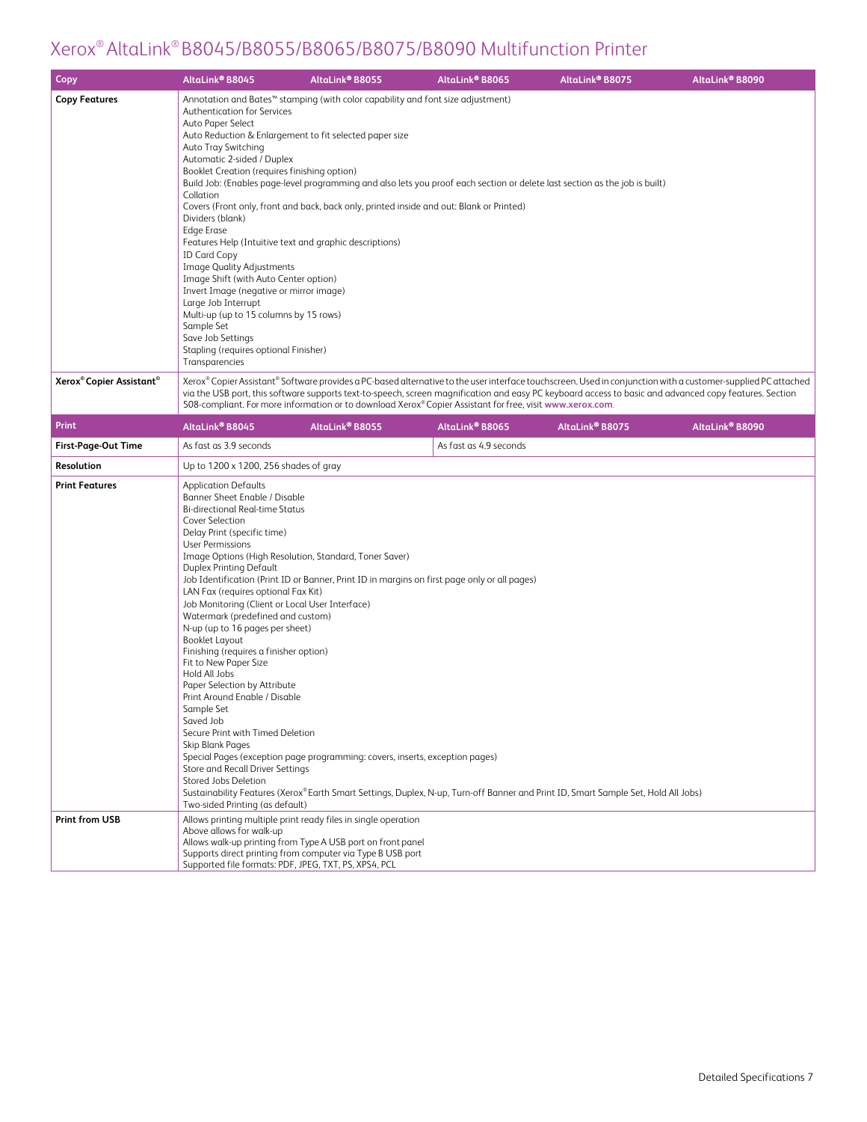| Copy                                             | AltaLink® B8045                                                                                                                                                                                                                                                                                                                                                                                                                                                                                                                                                                                                                                                                                                                                                                                                                                                                            | AltaLink® B8055             | AltaLink® B8065                                                                                           | AltaLink® B8075                                                                                                                    | AltaLink® B8090                                                                                                                                                                                                                                                                                                         |
|--------------------------------------------------|--------------------------------------------------------------------------------------------------------------------------------------------------------------------------------------------------------------------------------------------------------------------------------------------------------------------------------------------------------------------------------------------------------------------------------------------------------------------------------------------------------------------------------------------------------------------------------------------------------------------------------------------------------------------------------------------------------------------------------------------------------------------------------------------------------------------------------------------------------------------------------------------|-----------------------------|-----------------------------------------------------------------------------------------------------------|------------------------------------------------------------------------------------------------------------------------------------|-------------------------------------------------------------------------------------------------------------------------------------------------------------------------------------------------------------------------------------------------------------------------------------------------------------------------|
| <b>Copy Features</b>                             | Annotation and Bates <sup>™</sup> stamping (with color capability and font size adjustment)<br><b>Authentication for Services</b><br>Auto Paper Select<br>Auto Reduction & Enlargement to fit selected paper size<br>Auto Tray Switching<br>Automatic 2-sided / Duplex<br>Booklet Creation (requires finishing option)<br>Collation<br>Covers (Front only, front and back, back only, printed inside and out: Blank or Printed)<br>Dividers (blank)<br><b>Edge Erase</b><br>Features Help (Intuitive text and graphic descriptions)<br><b>ID Card Copy</b><br>Image Quality Adjustments<br>Image Shift (with Auto Center option)<br>Invert Image (negative or mirror image)<br>Large Job Interrupt<br>Multi-up (up to 15 columns by 15 rows)<br>Sample Set<br>Save Job Settings<br>Stapling (requires optional Finisher)<br>Transparencies                                                 |                             |                                                                                                           | Build Job: (Enables page-level programming and also lets you proof each section or delete last section as the job is built)        |                                                                                                                                                                                                                                                                                                                         |
| Xerox <sup>®</sup> Copier Assistant <sup>®</sup> |                                                                                                                                                                                                                                                                                                                                                                                                                                                                                                                                                                                                                                                                                                                                                                                                                                                                                            |                             | 508-compliant. For more information or to download Xerox® Copier Assistant for free, visit www.xerox.com. |                                                                                                                                    | Xerox® Copier Assistant® Software provides a PC-based alternative to the user interface touchscreen. Used in conjunction with a customer-supplied PC attached<br>via the USB port, this software supports text-to-speech, screen magnification and easy PC keyboard access to basic and advanced copy features. Section |
| <b>Print</b>                                     | AltaLink® B8045                                                                                                                                                                                                                                                                                                                                                                                                                                                                                                                                                                                                                                                                                                                                                                                                                                                                            | AltaLink <sup>®</sup> B8055 | AltaLink <sup>®</sup> B8065                                                                               | AltaLink® B8075                                                                                                                    | AltaLink® B8090                                                                                                                                                                                                                                                                                                         |
| <b>First-Page-Out Time</b>                       | As fast as 3.9 seconds                                                                                                                                                                                                                                                                                                                                                                                                                                                                                                                                                                                                                                                                                                                                                                                                                                                                     |                             | As fast as 4.9 seconds                                                                                    |                                                                                                                                    |                                                                                                                                                                                                                                                                                                                         |
| Resolution                                       | Up to 1200 x 1200, 256 shades of gray                                                                                                                                                                                                                                                                                                                                                                                                                                                                                                                                                                                                                                                                                                                                                                                                                                                      |                             |                                                                                                           |                                                                                                                                    |                                                                                                                                                                                                                                                                                                                         |
| <b>Print Features</b>                            | <b>Application Defaults</b><br>Banner Sheet Enable / Disable<br><b>Bi-directional Real-time Status</b><br>Cover Selection<br>Delay Print (specific time)<br><b>User Permissions</b><br>Image Options (High Resolution, Standard, Toner Saver)<br><b>Duplex Printing Default</b><br>LAN Fax (requires optional Fax Kit)<br>Job Monitoring (Client or Local User Interface)<br>Watermark (predefined and custom)<br>N-up (up to 16 pages per sheet)<br>Booklet Layout<br>Finishing (requires a finisher option)<br>Fit to New Paper Size<br>Hold All Jobs<br>Paper Selection by Attribute<br>Print Around Enable / Disable<br>Sample Set<br>Saved Job<br>Secure Print with Timed Deletion<br>Skip Blank Pages<br>Special Pages (exception page programming: covers, inserts, exception pages)<br>Store and Recall Driver Settings<br>Stored Jobs Deletion<br>Two-sided Printing (as default) |                             | Job Identification (Print ID or Banner, Print ID in margins on first page only or all pages)              | Sustainability Features (Xerox® Earth Smart Settings, Duplex, N-up, Turn-off Banner and Print ID, Smart Sample Set, Hold All Jobs) |                                                                                                                                                                                                                                                                                                                         |
| <b>Print from USB</b>                            | Allows printing multiple print ready files in single operation<br>Above allows for walk-up<br>Allows walk-up printing from Type A USB port on front panel<br>Supports direct printing from computer via Type B USB port<br>Supported file formats: PDF, JPEG, TXT, PS, XPS4, PCL                                                                                                                                                                                                                                                                                                                                                                                                                                                                                                                                                                                                           |                             |                                                                                                           |                                                                                                                                    |                                                                                                                                                                                                                                                                                                                         |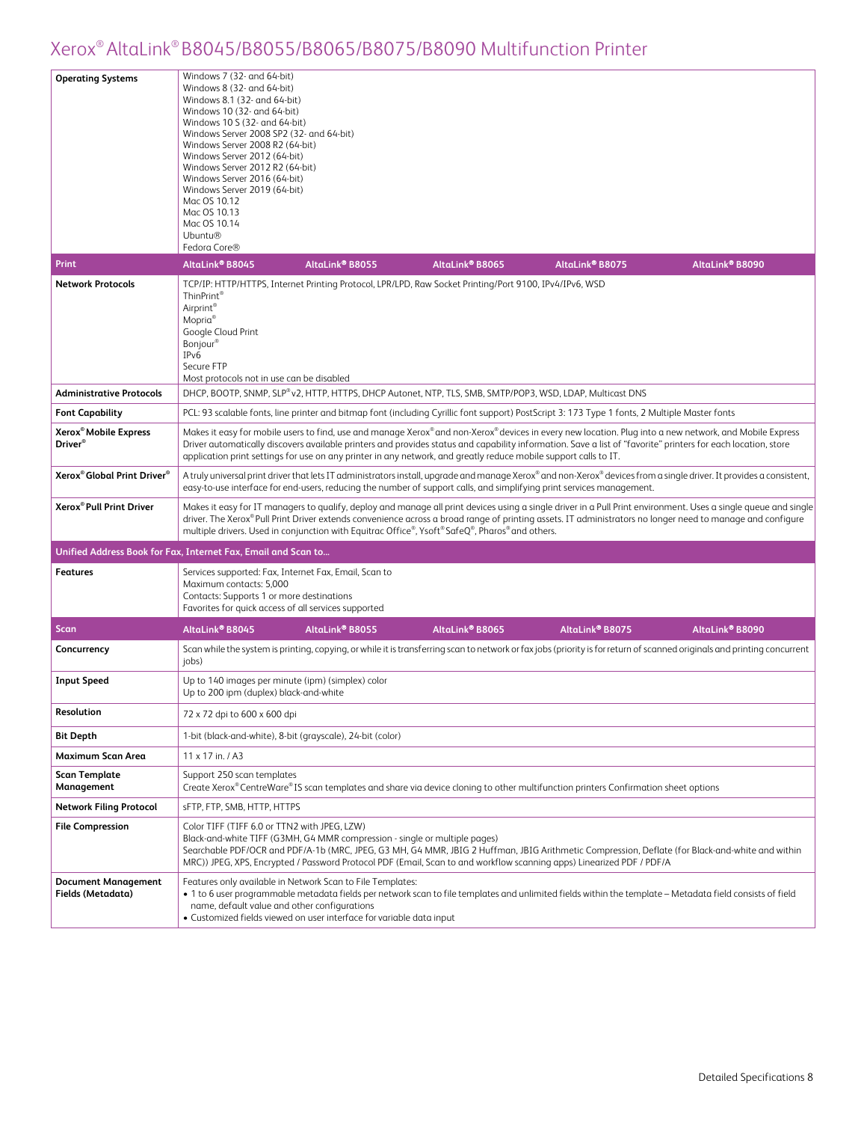|                                                          | Windows 7 (32- and 64-bit)                                                                                                                                                                                                                                                                                                                                                                                                                                                                                                    |  |  |  |  |
|----------------------------------------------------------|-------------------------------------------------------------------------------------------------------------------------------------------------------------------------------------------------------------------------------------------------------------------------------------------------------------------------------------------------------------------------------------------------------------------------------------------------------------------------------------------------------------------------------|--|--|--|--|
| <b>Operating Systems</b><br><b>Print</b>                 | Windows 8 (32- and 64-bit)<br>Windows 8.1 (32- and 64-bit)<br>Windows 10 (32- and 64-bit)<br>Windows 10 S (32- and 64-bit)<br>Windows Server 2008 SP2 (32- and 64-bit)<br>Windows Server 2008 R2 (64-bit)<br>Windows Server 2012 (64-bit)<br>Windows Server 2012 R2 (64-bit)<br>Windows Server 2016 (64-bit)<br>Windows Server 2019 (64-bit)<br>Mac OS 10.12<br>Mac OS 10.13<br>Mac OS 10.14<br><b>Ubuntu®</b><br>Fedora Core®<br>AltaLink® B8045<br>AltaLink® B8055<br>AltaLink® B8065<br>AltaLink® B8075<br>AltaLink® B8090 |  |  |  |  |
| <b>Network Protocols</b>                                 | TCP/IP: HTTP/HTTPS, Internet Printing Protocol, LPR/LPD, Raw Socket Printing/Port 9100, IPv4/IPv6, WSD                                                                                                                                                                                                                                                                                                                                                                                                                        |  |  |  |  |
|                                                          | ThinPrint <sup>®</sup><br>Airprint®<br>Mopria <sup>®</sup><br>Google Cloud Print<br>Bonjour <sup>®</sup><br>IP <sub>v</sub> 6<br>Secure FTP<br>Most protocols not in use can be disabled                                                                                                                                                                                                                                                                                                                                      |  |  |  |  |
| <b>Administrative Protocols</b>                          | DHCP, BOOTP, SNMP, SLP®v2, HTTP, HTTPS, DHCP Autonet, NTP, TLS, SMB, SMTP/POP3, WSD, LDAP, Multicast DNS                                                                                                                                                                                                                                                                                                                                                                                                                      |  |  |  |  |
| <b>Font Capability</b>                                   | PCL: 93 scalable fonts, line printer and bitmap font (including Cyrillic font support) PostScript 3: 173 Type 1 fonts, 2 Multiple Master fonts                                                                                                                                                                                                                                                                                                                                                                                |  |  |  |  |
| Xerox <sup>®</sup> Mobile Express<br>Driver <sup>®</sup> | Makes it easy for mobile users to find, use and manage Xerox® and non-Xerox® devices in every new location. Plug into a new network, and Mobile Express<br>Driver automatically discovers available printers and provides status and capability information. Save a list of "favorite" printers for each location, store<br>application print settings for use on any printer in any network, and greatly reduce mobile support calls to IT.                                                                                  |  |  |  |  |
| Xerox® Global Print Driver®                              | A truly universal print driver that lets IT administrators install, upgrade and manage Xerox® and non-Xerox® devices from a single driver. It provides a consistent,<br>easy-to-use interface for end-users, reducing the number of support calls, and simplifying print services management.                                                                                                                                                                                                                                 |  |  |  |  |
| Xerox <sup>®</sup> Pull Print Driver                     | Makes it easy for IT managers to qualify, deploy and manage all print devices using a single driver in a Pull Print environment. Uses a single queue and single<br>driver. The Xerox® Pull Print Driver extends convenience across a broad range of printing assets. IT administrators no longer need to manage and configure<br>multiple drivers. Used in conjunction with Equitrac Office®, Ysoft® SafeQ®, Pharos® and others.                                                                                              |  |  |  |  |
|                                                          | Unified Address Book for Fax, Internet Fax, Email and Scan to                                                                                                                                                                                                                                                                                                                                                                                                                                                                 |  |  |  |  |
| <b>Features</b>                                          | Services supported: Fax, Internet Fax, Email, Scan to<br>Maximum contacts: 5,000<br>Contacts: Supports 1 or more destinations<br>Favorites for quick access of all services supported                                                                                                                                                                                                                                                                                                                                         |  |  |  |  |
| Scan                                                     | AltaLink® B8045<br>AltaLink® B8055<br>AltaLink® B8065<br>AltaLink® B8075<br>AltaLink <sup>®</sup> B8090                                                                                                                                                                                                                                                                                                                                                                                                                       |  |  |  |  |
| Concurrency                                              | Scan while the system is printing, copying, or while it is transferring scan to network or fax jobs (priority is for return of scanned originals and printing concurrent<br>jobs)                                                                                                                                                                                                                                                                                                                                             |  |  |  |  |
| <b>Input Speed</b>                                       | Up to 140 images per minute (ipm) (simplex) color<br>Up to 200 ipm (duplex) black-and-white                                                                                                                                                                                                                                                                                                                                                                                                                                   |  |  |  |  |
| Resolution                                               | 72 x 72 dpi to 600 x 600 dpi                                                                                                                                                                                                                                                                                                                                                                                                                                                                                                  |  |  |  |  |
| <b>Bit Depth</b>                                         | 1-bit (black-and-white), 8-bit (grayscale), 24-bit (color)                                                                                                                                                                                                                                                                                                                                                                                                                                                                    |  |  |  |  |
| Maximum Scan Area                                        | $11 \times 17$ in. / A3                                                                                                                                                                                                                                                                                                                                                                                                                                                                                                       |  |  |  |  |
| <b>Scan Template</b><br>Management                       | Support 250 scan templates<br>Create Xerox® CentreWare®IS scan templates and share via device cloning to other multifunction printers Confirmation sheet options                                                                                                                                                                                                                                                                                                                                                              |  |  |  |  |
| <b>Network Filing Protocol</b>                           | sFTP, FTP, SMB, HTTP, HTTPS                                                                                                                                                                                                                                                                                                                                                                                                                                                                                                   |  |  |  |  |
| <b>File Compression</b>                                  | Color TIFF (TIFF 6.0 or TTN2 with JPEG, LZW)<br>Black-and-white TIFF (G3MH, G4 MMR compression - single or multiple pages)<br>Searchable PDF/OCR and PDF/A-1b (MRC, JPEG, G3 MH, G4 MMR, JBIG 2 Huffman, JBIG Arithmetic Compression, Deflate (for Black-and-white and within<br>MRC)) JPEG, XPS, Encrypted / Password Protocol PDF (Email, Scan to and workflow scanning apps) Linearized PDF / PDF/A                                                                                                                        |  |  |  |  |
| <b>Document Management</b><br>Fields (Metadata)          | Features only available in Network Scan to File Templates:<br>. 1 to 6 user programmable metadata fields per network scan to file templates and unlimited fields within the template - Metadata field consists of field<br>name, default value and other configurations<br>• Customized fields viewed on user interface for variable data input                                                                                                                                                                               |  |  |  |  |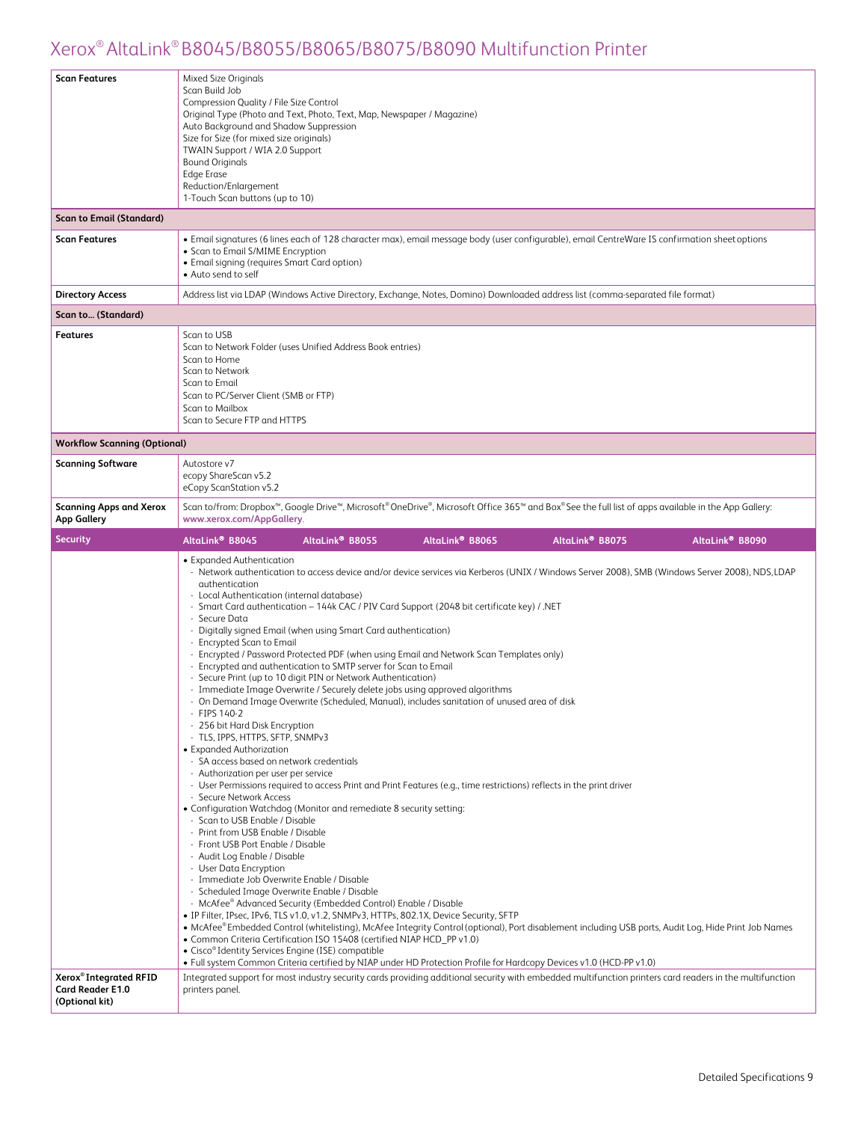| <b>Scan Features</b>                                 | <b>Mixed Size Originals</b><br>Scan Build Job<br>Compression Quality / File Size Control<br>Original Type (Photo and Text, Photo, Text, Map, Newspaper / Magazine)<br>Auto Background and Shadow Suppression<br>Size for Size (for mixed size originals)<br>TWAIN Support / WIA 2.0 Support<br><b>Bound Originals</b><br>Edge Erase<br>Reduction/Enlargement<br>1-Touch Scan buttons (up to 10)                                                                                                                                                                                                                                                                                                                                                                                                                                                                                                                                                                                                                                                                                                                                                                                                                                                                                                                                                                                                                                                                                                                                                                                                                                                                                                                                                                                                                                                                                                                                                                                                                                                                                                                                                                                                                                                                                                                            |
|------------------------------------------------------|----------------------------------------------------------------------------------------------------------------------------------------------------------------------------------------------------------------------------------------------------------------------------------------------------------------------------------------------------------------------------------------------------------------------------------------------------------------------------------------------------------------------------------------------------------------------------------------------------------------------------------------------------------------------------------------------------------------------------------------------------------------------------------------------------------------------------------------------------------------------------------------------------------------------------------------------------------------------------------------------------------------------------------------------------------------------------------------------------------------------------------------------------------------------------------------------------------------------------------------------------------------------------------------------------------------------------------------------------------------------------------------------------------------------------------------------------------------------------------------------------------------------------------------------------------------------------------------------------------------------------------------------------------------------------------------------------------------------------------------------------------------------------------------------------------------------------------------------------------------------------------------------------------------------------------------------------------------------------------------------------------------------------------------------------------------------------------------------------------------------------------------------------------------------------------------------------------------------------------------------------------------------------------------------------------------------------|
| <b>Scan to Email (Standard)</b>                      |                                                                                                                                                                                                                                                                                                                                                                                                                                                                                                                                                                                                                                                                                                                                                                                                                                                                                                                                                                                                                                                                                                                                                                                                                                                                                                                                                                                                                                                                                                                                                                                                                                                                                                                                                                                                                                                                                                                                                                                                                                                                                                                                                                                                                                                                                                                            |
| <b>Scan Features</b>                                 | • Email signatures (6 lines each of 128 character max), email message body (user configurable), email CentreWare IS confirmation sheet options<br>• Scan to Email S/MIME Encryption<br>• Email signing (requires Smart Card option)<br>• Auto send to self                                                                                                                                                                                                                                                                                                                                                                                                                                                                                                                                                                                                                                                                                                                                                                                                                                                                                                                                                                                                                                                                                                                                                                                                                                                                                                                                                                                                                                                                                                                                                                                                                                                                                                                                                                                                                                                                                                                                                                                                                                                                 |
| <b>Directory Access</b>                              | Address list via LDAP (Windows Active Directory, Exchange, Notes, Domino) Downloaded address list (comma-separated file format)                                                                                                                                                                                                                                                                                                                                                                                                                                                                                                                                                                                                                                                                                                                                                                                                                                                                                                                                                                                                                                                                                                                                                                                                                                                                                                                                                                                                                                                                                                                                                                                                                                                                                                                                                                                                                                                                                                                                                                                                                                                                                                                                                                                            |
| Scan to (Standard)                                   |                                                                                                                                                                                                                                                                                                                                                                                                                                                                                                                                                                                                                                                                                                                                                                                                                                                                                                                                                                                                                                                                                                                                                                                                                                                                                                                                                                                                                                                                                                                                                                                                                                                                                                                                                                                                                                                                                                                                                                                                                                                                                                                                                                                                                                                                                                                            |
| <b>Features</b>                                      | Scan to USB<br>Scan to Network Folder (uses Unified Address Book entries)<br>Scan to Home<br>Scan to Network<br>Scan to Email<br>Scan to PC/Server Client (SMB or FTP)<br>Scan to Mailbox<br>Scan to Secure FTP and HTTPS                                                                                                                                                                                                                                                                                                                                                                                                                                                                                                                                                                                                                                                                                                                                                                                                                                                                                                                                                                                                                                                                                                                                                                                                                                                                                                                                                                                                                                                                                                                                                                                                                                                                                                                                                                                                                                                                                                                                                                                                                                                                                                  |
| <b>Workflow Scanning (Optional)</b>                  |                                                                                                                                                                                                                                                                                                                                                                                                                                                                                                                                                                                                                                                                                                                                                                                                                                                                                                                                                                                                                                                                                                                                                                                                                                                                                                                                                                                                                                                                                                                                                                                                                                                                                                                                                                                                                                                                                                                                                                                                                                                                                                                                                                                                                                                                                                                            |
| <b>Scanning Software</b>                             | Autostore v7<br>ecopy ShareScan v5.2<br>eCopy ScanStation v5.2                                                                                                                                                                                                                                                                                                                                                                                                                                                                                                                                                                                                                                                                                                                                                                                                                                                                                                                                                                                                                                                                                                                                                                                                                                                                                                                                                                                                                                                                                                                                                                                                                                                                                                                                                                                                                                                                                                                                                                                                                                                                                                                                                                                                                                                             |
| <b>Scanning Apps and Xerox</b><br><b>App Gallery</b> | Scan to/from: Dropbox <sup>™</sup> , Google Drive™, Microsoft <sup>®</sup> OneDrive®, Microsoft Office 365™ and Box® See the full list of apps available in the App Gallery:<br>www.xerox.com/AppGallery.                                                                                                                                                                                                                                                                                                                                                                                                                                                                                                                                                                                                                                                                                                                                                                                                                                                                                                                                                                                                                                                                                                                                                                                                                                                                                                                                                                                                                                                                                                                                                                                                                                                                                                                                                                                                                                                                                                                                                                                                                                                                                                                  |
| <b>Security</b>                                      | AltaLink <sup>®</sup> B8045<br>AltaLink <sup>®</sup> B8055<br>AltaLink <sup>®</sup> B8065<br>AltaLink <sup>®</sup> B8075<br>AltaLink <sup>®</sup> B8090                                                                                                                                                                                                                                                                                                                                                                                                                                                                                                                                                                                                                                                                                                                                                                                                                                                                                                                                                                                                                                                                                                                                                                                                                                                                                                                                                                                                                                                                                                                                                                                                                                                                                                                                                                                                                                                                                                                                                                                                                                                                                                                                                                    |
| Xerox <sup>®</sup> Integrated RFID                   | • Expanded Authentication<br>- Network authentication to access device and/or device services via Kerberos (UNIX / Windows Server 2008), SMB (Windows Server 2008), NDS, LDAP<br>authentication<br>- Local Authentication (internal database)<br>- Smart Card authentication - 144k CAC / PIV Card Support (2048 bit certificate key) / .NET<br>- Secure Data<br>- Digitally signed Email (when using Smart Card authentication)<br>- Encrypted Scan to Email<br>- Encrypted / Password Protected PDF (when using Email and Network Scan Templates only)<br>- Encrypted and authentication to SMTP server for Scan to Email<br>- Secure Print (up to 10 digit PIN or Network Authentication)<br>- Immediate Image Overwrite / Securely delete jobs using approved algorithms<br>- On Demand Image Overwrite (Scheduled, Manual), includes sanitation of unused area of disk<br>$-$ FIPS 140-2<br>- 256 bit Hard Disk Encryption<br>- TLS, IPPS, HTTPS, SFTP, SNMPv3<br>• Expanded Authorization<br>- SA access based on network credentials<br>- Authorization per user per service<br>- User Permissions required to access Print and Print Features (e.g., time restrictions) reflects in the print driver<br>- Secure Network Access<br>• Configuration Watchdog (Monitor and remediate 8 security setting:<br>- Scan to USB Enable / Disable<br>- Print from USB Enable / Disable<br>- Front USB Port Enable / Disable<br>- Audit Log Enable / Disable<br>- User Data Encryption<br>- Immediate Job Overwrite Enable / Disable<br>- Scheduled Image Overwrite Enable / Disable<br>- McAfee® Advanced Security (Embedded Control) Enable / Disable<br>• IP Filter, IPsec, IPv6, TLS v1.0, v1.2, SNMPv3, HTTPs, 802.1X, Device Security, SFTP<br>• McAfee®Embedded Control (whitelisting), McAfee Integrity Control (optional), Port disablement including USB ports, Audit Log, Hide Print Job Names<br>• Common Criteria Certification ISO 15408 (certified NIAP HCD_PP v1.0)<br>• Cisco® Identity Services Engine (ISE) compatible<br>. Full system Common Criteria certified by NIAP under HD Protection Profile for Hardcopy Devices v1.0 (HCD-PP v1.0)<br>Integrated support for most industry security cards providing additional security with embedded multifunction printers card readers in the multifunction |
| <b>Card Reader E1.0</b>                              | printers panel.                                                                                                                                                                                                                                                                                                                                                                                                                                                                                                                                                                                                                                                                                                                                                                                                                                                                                                                                                                                                                                                                                                                                                                                                                                                                                                                                                                                                                                                                                                                                                                                                                                                                                                                                                                                                                                                                                                                                                                                                                                                                                                                                                                                                                                                                                                            |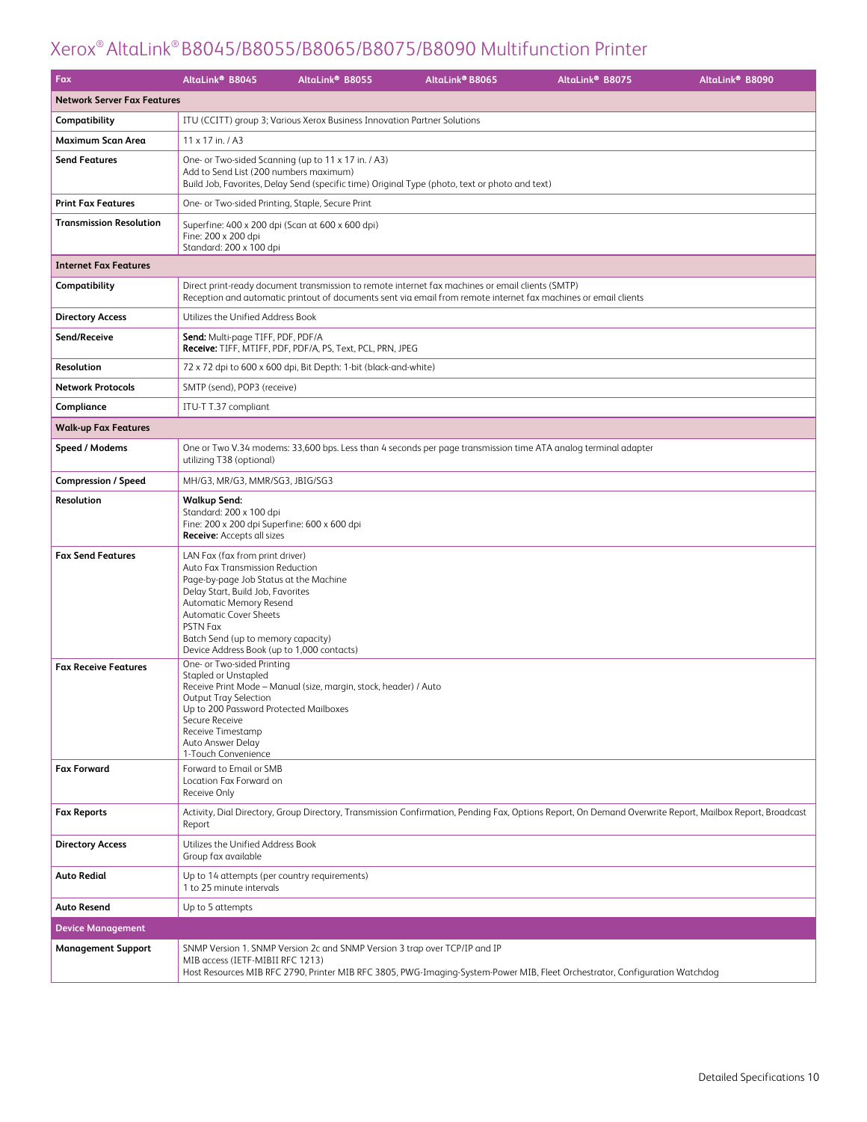| Fax                                | AltaLink <sup>®</sup> B8045                                                                                                                                                                                                                                                                                   | AltaLink <sup>®</sup> B8055                                                | AltaLink® B8065                                                                                                                                                                                                     | AltaLink <sup>®</sup> B8075                                                                                                                              | AltaLink® B8090 |  |  |
|------------------------------------|---------------------------------------------------------------------------------------------------------------------------------------------------------------------------------------------------------------------------------------------------------------------------------------------------------------|----------------------------------------------------------------------------|---------------------------------------------------------------------------------------------------------------------------------------------------------------------------------------------------------------------|----------------------------------------------------------------------------------------------------------------------------------------------------------|-----------------|--|--|
| <b>Network Server Fax Features</b> |                                                                                                                                                                                                                                                                                                               |                                                                            |                                                                                                                                                                                                                     |                                                                                                                                                          |                 |  |  |
| Compatibility                      |                                                                                                                                                                                                                                                                                                               | ITU (CCITT) group 3; Various Xerox Business Innovation Partner Solutions   |                                                                                                                                                                                                                     |                                                                                                                                                          |                 |  |  |
| Maximum Scan Area                  | 11 x 17 in. / A3                                                                                                                                                                                                                                                                                              |                                                                            |                                                                                                                                                                                                                     |                                                                                                                                                          |                 |  |  |
| <b>Send Features</b>               | Add to Send List (200 numbers maximum)                                                                                                                                                                                                                                                                        | One- or Two-sided Scanning (up to 11 x 17 in. / A3)                        | Build Job, Favorites, Delay Send (specific time) Original Type (photo, text or photo and text)                                                                                                                      |                                                                                                                                                          |                 |  |  |
| <b>Print Fax Features</b>          | One- or Two-sided Printing, Staple, Secure Print                                                                                                                                                                                                                                                              |                                                                            |                                                                                                                                                                                                                     |                                                                                                                                                          |                 |  |  |
| <b>Transmission Resolution</b>     | Superfine: 400 x 200 dpi (Scan at 600 x 600 dpi)<br>Fine: 200 x 200 dpi<br>Standard: 200 x 100 dpi                                                                                                                                                                                                            |                                                                            |                                                                                                                                                                                                                     |                                                                                                                                                          |                 |  |  |
| <b>Internet Fax Features</b>       |                                                                                                                                                                                                                                                                                                               |                                                                            |                                                                                                                                                                                                                     |                                                                                                                                                          |                 |  |  |
| Compatibility                      |                                                                                                                                                                                                                                                                                                               |                                                                            | Direct print-ready document transmission to remote internet fax machines or email clients (SMTP)<br>Reception and automatic printout of documents sent via email from remote internet fax machines or email clients |                                                                                                                                                          |                 |  |  |
| <b>Directory Access</b>            | Utilizes the Unified Address Book                                                                                                                                                                                                                                                                             |                                                                            |                                                                                                                                                                                                                     |                                                                                                                                                          |                 |  |  |
| Send/Receive                       | <b>Send:</b> Multi-page TIFF, PDF, PDF/A                                                                                                                                                                                                                                                                      | Receive: TIFF, MTIFF, PDF, PDF/A, PS, Text, PCL, PRN, JPEG                 |                                                                                                                                                                                                                     |                                                                                                                                                          |                 |  |  |
| Resolution                         |                                                                                                                                                                                                                                                                                                               | 72 x 72 dpi to 600 x 600 dpi, Bit Depth: 1-bit (black-and-white)           |                                                                                                                                                                                                                     |                                                                                                                                                          |                 |  |  |
| <b>Network Protocols</b>           | SMTP (send), POP3 (receive)                                                                                                                                                                                                                                                                                   |                                                                            |                                                                                                                                                                                                                     |                                                                                                                                                          |                 |  |  |
| Compliance                         | ITU-T T.37 compliant                                                                                                                                                                                                                                                                                          |                                                                            |                                                                                                                                                                                                                     |                                                                                                                                                          |                 |  |  |
| <b>Walk-up Fax Features</b>        |                                                                                                                                                                                                                                                                                                               |                                                                            |                                                                                                                                                                                                                     |                                                                                                                                                          |                 |  |  |
| Speed / Modems                     | utilizing T38 (optional)                                                                                                                                                                                                                                                                                      |                                                                            |                                                                                                                                                                                                                     | One or Two V.34 modems: 33,600 bps. Less than 4 seconds per page transmission time ATA analog terminal adapter                                           |                 |  |  |
| <b>Compression / Speed</b>         | MH/G3, MR/G3, MMR/SG3, JBIG/SG3                                                                                                                                                                                                                                                                               |                                                                            |                                                                                                                                                                                                                     |                                                                                                                                                          |                 |  |  |
| Resolution                         | <b>Walkup Send:</b><br>Standard: 200 x 100 dpi<br>Fine: 200 x 200 dpi Superfine: 600 x 600 dpi<br><b>Receive:</b> Accepts all sizes                                                                                                                                                                           |                                                                            |                                                                                                                                                                                                                     |                                                                                                                                                          |                 |  |  |
| <b>Fax Send Features</b>           | LAN Fax (fax from print driver)<br>Auto Fax Transmission Reduction<br>Page-by-page Job Status at the Machine<br>Delay Start, Build Job, Favorites<br>Automatic Memory Resend<br><b>Automatic Cover Sheets</b><br>PSTN Fax<br>Batch Send (up to memory capacity)<br>Device Address Book (up to 1,000 contacts) |                                                                            |                                                                                                                                                                                                                     |                                                                                                                                                          |                 |  |  |
| <b>Fax Receive Features</b>        | One- or Two-sided Printing<br><b>Stapled or Unstapled</b><br>Output Tray Selection<br>Up to 200 Password Protected Mailboxes<br>Secure Receive<br>Receive Timestamp<br>Auto Answer Delay<br>1-Touch Convenience                                                                                               | Receive Print Mode - Manual (size, margin, stock, header) / Auto           |                                                                                                                                                                                                                     |                                                                                                                                                          |                 |  |  |
| <b>Fax Forward</b>                 | Forward to Email or SMB<br>Location Fax Forward on<br>Receive Only                                                                                                                                                                                                                                            |                                                                            |                                                                                                                                                                                                                     |                                                                                                                                                          |                 |  |  |
| <b>Fax Reports</b>                 | Report                                                                                                                                                                                                                                                                                                        |                                                                            |                                                                                                                                                                                                                     | Activity, Dial Directory, Group Directory, Transmission Confirmation, Pending Fax, Options Report, On Demand Overwrite Report, Mailbox Report, Broadcast |                 |  |  |
| <b>Directory Access</b>            | Utilizes the Unified Address Book<br>Group fax available                                                                                                                                                                                                                                                      |                                                                            |                                                                                                                                                                                                                     |                                                                                                                                                          |                 |  |  |
| <b>Auto Redial</b>                 | Up to 14 attempts (per country requirements)<br>1 to 25 minute intervals                                                                                                                                                                                                                                      |                                                                            |                                                                                                                                                                                                                     |                                                                                                                                                          |                 |  |  |
| <b>Auto Resend</b>                 | Up to 5 attempts                                                                                                                                                                                                                                                                                              |                                                                            |                                                                                                                                                                                                                     |                                                                                                                                                          |                 |  |  |
| <b>Device Management</b>           |                                                                                                                                                                                                                                                                                                               |                                                                            |                                                                                                                                                                                                                     |                                                                                                                                                          |                 |  |  |
| <b>Management Support</b>          | MIB access (IETF-MIBII RFC 1213)                                                                                                                                                                                                                                                                              | SNMP Version 1. SNMP Version 2c and SNMP Version 3 trap over TCP/IP and IP |                                                                                                                                                                                                                     | Host Resources MIB RFC 2790, Printer MIB RFC 3805, PWG-Imaging-System-Power MIB, Fleet Orchestrator, Configuration Watchdog                              |                 |  |  |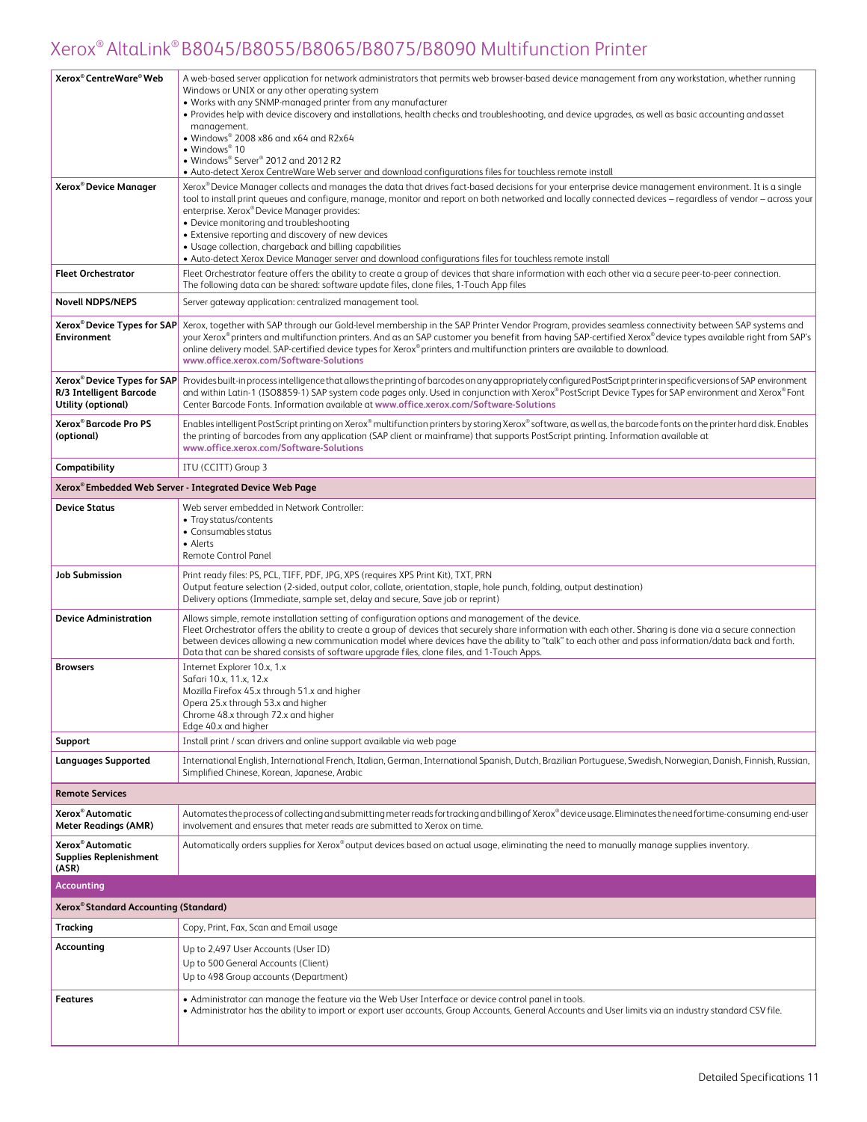| Xerox <sup>®</sup> CentreWare <sup>®</sup> Web                                           | A web-based server application for network administrators that permits web browser-based device management from any workstation, whether running<br>Windows or UNIX or any other operating system<br>• Works with any SNMP-managed printer from any manufacturer<br>• Provides help with device discovery and installations, health checks and troubleshooting, and device upgrades, as well as basic accounting and asset<br>management.<br>• Windows® 2008 x86 and x64 and R2x64<br>$\bullet$ Windows <sup>®</sup> 10<br>• Windows® Server® 2012 and 2012 R2                                                                               |
|------------------------------------------------------------------------------------------|----------------------------------------------------------------------------------------------------------------------------------------------------------------------------------------------------------------------------------------------------------------------------------------------------------------------------------------------------------------------------------------------------------------------------------------------------------------------------------------------------------------------------------------------------------------------------------------------------------------------------------------------|
|                                                                                          | • Auto-detect Xerox CentreWare Web server and download configurations files for touchless remote install                                                                                                                                                                                                                                                                                                                                                                                                                                                                                                                                     |
| Xerox <sup>®</sup> Device Manager                                                        | Xerox® Device Manager collects and manages the data that drives fact-based decisions for your enterprise device management environment. It is a single<br>tool to install print queues and configure, manage, monitor and report on both networked and locally connected devices - regardless of vendor - across your<br>enterprise. Xerox® Device Manager provides:<br>• Device monitoring and troubleshooting<br>• Extensive reporting and discovery of new devices<br>• Usage collection, chargeback and billing capabilities<br>• Auto-detect Xerox Device Manager server and download configurations files for touchless remote install |
| <b>Fleet Orchestrator</b>                                                                | Fleet Orchestrator feature offers the ability to create a group of devices that share information with each other via a secure peer-to-peer connection.<br>The following data can be shared: software update files, clone files, 1-Touch App files                                                                                                                                                                                                                                                                                                                                                                                           |
| <b>Novell NDPS/NEPS</b>                                                                  | Server gateway application: centralized management tool.                                                                                                                                                                                                                                                                                                                                                                                                                                                                                                                                                                                     |
| Xerox <sup>®</sup> Device Types for SAP<br><b>Environment</b>                            | Xerox, together with SAP through our Gold-level membership in the SAP Printer Vendor Program, provides seamless connectivity between SAP systems and<br>your Xerox® printers and multifunction printers. And as an SAP customer you benefit from having SAP-certified Xerox® device types available right from SAP's<br>online delivery model. SAP-certified device types for Xerox® printers and multifunction printers are available to download.<br>www.office.xerox.com/Software-Solutions                                                                                                                                               |
| Xerox <sup>®</sup> Device Types for SAP<br>R/3 Intelligent Barcode<br>Utility (optional) | Provides built-in process intelligence that allows the printing of barcodes on any appropriately configured PostScript printer in specific versions of SAP environment<br>and within Latin-1 (ISO8859-1) SAP system code pages only. Used in conjunction with Xerox®PostScript Device Types for SAP environment and Xerox®Pont<br>Center Barcode Fonts. Information available at www.office.xerox.com/Software-Solutions                                                                                                                                                                                                                     |
| Xerox® Barcode Pro PS<br>(optional)                                                      | Enables intelligent PostScript printing on Xerox® multifunction printers by storing Xerox® software, as well as, the barcode fonts on the printer hard disk. Enables<br>the printing of barcodes from any application (SAP client or mainframe) that supports PostScript printing. Information available at<br>www.office.xerox.com/Software-Solutions                                                                                                                                                                                                                                                                                       |
| Compatibility                                                                            | ITU (CCITT) Group 3                                                                                                                                                                                                                                                                                                                                                                                                                                                                                                                                                                                                                          |
|                                                                                          | Xerox® Embedded Web Server - Integrated Device Web Page                                                                                                                                                                                                                                                                                                                                                                                                                                                                                                                                                                                      |
| <b>Device Status</b>                                                                     | Web server embedded in Network Controller:<br>• Tray status/contents<br>• Consumables status<br>• Alerts<br>Remote Control Panel                                                                                                                                                                                                                                                                                                                                                                                                                                                                                                             |
| <b>Job Submission</b>                                                                    | Print ready files: PS, PCL, TIFF, PDF, JPG, XPS (requires XPS Print Kit), TXT, PRN<br>Output feature selection (2-sided, output color, collate, orientation, staple, hole punch, folding, output destination)<br>Delivery options (Immediate, sample set, delay and secure, Save job or reprint)                                                                                                                                                                                                                                                                                                                                             |
| <b>Device Administration</b>                                                             | Allows simple, remote installation setting of configuration options and management of the device.<br>Fleet Orchestrator offers the ability to create a group of devices that securely share information with each other. Sharing is done via a secure connection<br>between devices allowing a new communication model where devices have the ability to "talk" to each other and pass information/data back and forth.<br>Data that can be shared consists of software upgrade files, clone files, and 1-Touch Apps.                                                                                                                        |
| <b>Browsers</b>                                                                          | Internet Explorer 10.x, 1.x<br>Safari 10.x, 11.x, 12.x<br>Mozilla Firefox 45.x through 51.x and higher<br>Opera 25.x through 53.x and higher<br>Chrome 48.x through 72.x and higher<br>Edge 40.x and higher                                                                                                                                                                                                                                                                                                                                                                                                                                  |
| Support                                                                                  | Install print / scan drivers and online support available via web page                                                                                                                                                                                                                                                                                                                                                                                                                                                                                                                                                                       |
| <b>Languages Supported</b>                                                               | International English, International French, Italian, German, International Spanish, Dutch, Brazilian Portuguese, Swedish, Norwegian, Danish, Finnish, Russian,<br>Simplified Chinese, Korean, Japanese, Arabic                                                                                                                                                                                                                                                                                                                                                                                                                              |
| <b>Remote Services</b>                                                                   |                                                                                                                                                                                                                                                                                                                                                                                                                                                                                                                                                                                                                                              |
| Xerox <sup>®</sup> Automatic<br><b>Meter Readings (AMR)</b>                              | Automates the process of collecting and submitting meter reads for tracking and billing of Xerox® device usage. Eliminates the need for time-consuming end-user<br>involvement and ensures that meter reads are submitted to Xerox on time.                                                                                                                                                                                                                                                                                                                                                                                                  |
| Xerox <sup>®</sup> Automatic<br><b>Supplies Replenishment</b><br>(ASR)                   | Automatically orders supplies for Xerox® output devices based on actual usage, eliminating the need to manually manage supplies inventory.                                                                                                                                                                                                                                                                                                                                                                                                                                                                                                   |
| <b>Accounting</b>                                                                        |                                                                                                                                                                                                                                                                                                                                                                                                                                                                                                                                                                                                                                              |
| Xerox® Standard Accounting (Standard)                                                    |                                                                                                                                                                                                                                                                                                                                                                                                                                                                                                                                                                                                                                              |
| Tracking                                                                                 | Copy, Print, Fax, Scan and Email usage                                                                                                                                                                                                                                                                                                                                                                                                                                                                                                                                                                                                       |
| Accounting                                                                               | Up to 2,497 User Accounts (User ID)<br>Up to 500 General Accounts (Client)<br>Up to 498 Group accounts (Department)                                                                                                                                                                                                                                                                                                                                                                                                                                                                                                                          |
| Features                                                                                 | • Administrator can manage the feature via the Web User Interface or device control panel in tools.<br>. Administrator has the ability to import or export user accounts, Group Accounts, General Accounts and User limits via an industry standard CSV file.                                                                                                                                                                                                                                                                                                                                                                                |